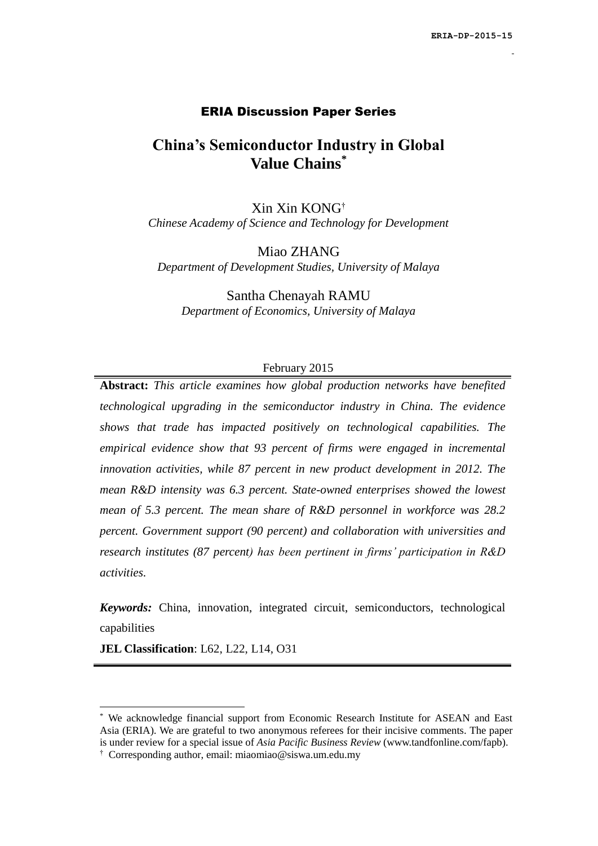#### ERIA Discussion Paper Series

## **China's Semiconductor Industry in Global Value Chains\***

Xin Xin KONG† *Chinese Academy of Science and Technology for Development*

Miao ZHANG *Department of Development Studies, University of Malaya*

Santha Chenayah RAMU *Department of Economics, University of Malaya*

#### February 2015

**Abstract:** *This article examines how global production networks have benefited technological upgrading in the semiconductor industry in China. The evidence shows that trade has impacted positively on technological capabilities. The empirical evidence show that 93 percent of firms were engaged in incremental innovation activities, while 87 percent in new product development in 2012. The mean R&D intensity was 6.3 percent. State-owned enterprises showed the lowest mean of 5.3 percent. The mean share of R&D personnel in workforce was 28.2 percent. Government support (90 percent) and collaboration with universities and research institutes (87 percent) has been pertinent in firms' participation in R&D activities.* 

*Keywords:* China, innovation, integrated circuit, semiconductors, technological capabilities

**JEL Classification**: L62, L22, L14, O31

**.** 

We acknowledge financial support from Economic Research Institute for ASEAN and East Asia (ERIA). We are grateful to two anonymous referees for their incisive comments. The paper is under review for a special issue of *Asia Pacific Business Review* [\(www.tandfonline.com/fapb\)](http://www.tandfonline.com/fapb).

<sup>†</sup> Corresponding author, email: [miaomiao@siswa.um.edu.my](mailto:miaomiao@siswa.um.edu.my)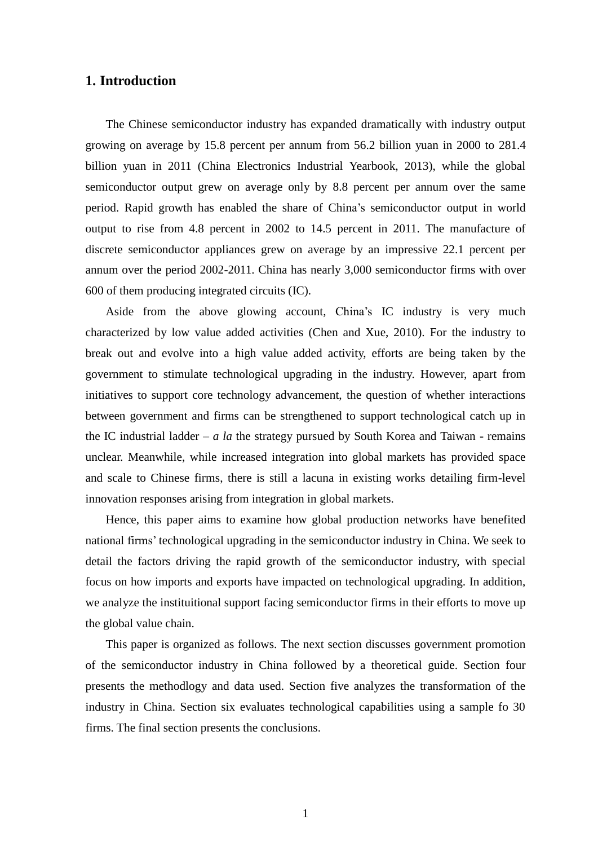#### **1. Introduction**

The Chinese semiconductor industry has expanded dramatically with industry output growing on average by 15.8 percent per annum from 56.2 billion yuan in 2000 to 281.4 billion yuan in 2011 (China Electronics Industrial Yearbook, 2013), while the global semiconductor output grew on average only by 8.8 percent per annum over the same period. Rapid growth has enabled the share of China's semiconductor output in world output to rise from 4.8 percent in 2002 to 14.5 percent in 2011. The manufacture of discrete semiconductor appliances grew on average by an impressive 22.1 percent per annum over the period 2002-2011. China has nearly 3,000 semiconductor firms with over 600 of them producing integrated circuits (IC).

Aside from the above glowing account, China's IC industry is very much characterized by low value added activities (Chen and Xue, 2010). For the industry to break out and evolve into a high value added activity, efforts are being taken by the government to stimulate technological upgrading in the industry. However, apart from initiatives to support core technology advancement, the question of whether interactions between government and firms can be strengthened to support technological catch up in the IC industrial ladder –  $a$  la the strategy pursued by South Korea and Taiwan - remains unclear. Meanwhile, while increased integration into global markets has provided space and scale to Chinese firms, there is still a lacuna in existing works detailing firm-level innovation responses arising from integration in global markets.

Hence, this paper aims to examine how global production networks have benefited national firms' technological upgrading in the semiconductor industry in China. We seek to detail the factors driving the rapid growth of the semiconductor industry, with special focus on how imports and exports have impacted on technological upgrading. In addition, we analyze the instituitional support facing semiconductor firms in their efforts to move up the global value chain.

This paper is organized as follows. The next section discusses government promotion of the semiconductor industry in China followed by a theoretical guide. Section four presents the methodlogy and data used. Section five analyzes the transformation of the industry in China. Section six evaluates technological capabilities using a sample fo 30 firms. The final section presents the conclusions.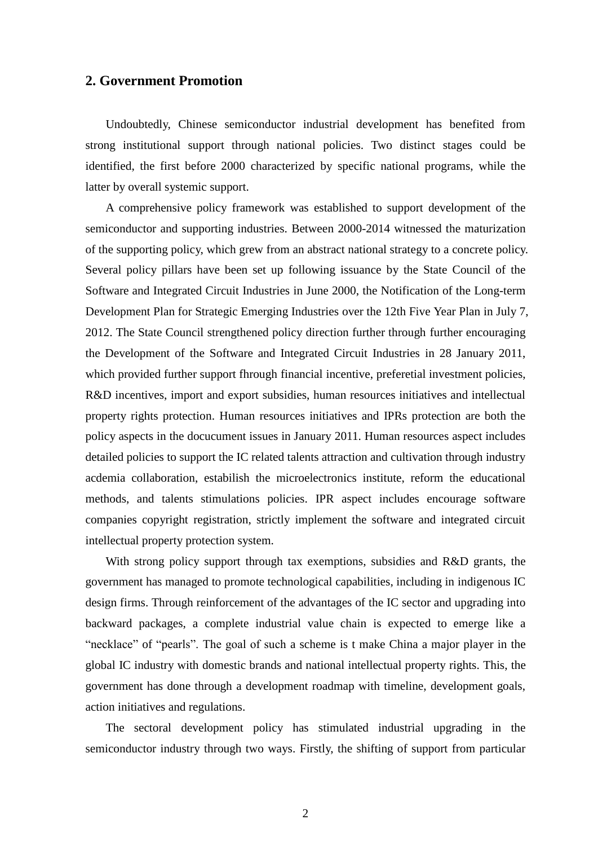#### **2. Government Promotion**

Undoubtedly, Chinese semiconductor industrial development has benefited from strong institutional support through national policies. Two distinct stages could be identified, the first before 2000 characterized by specific national programs, while the latter by overall systemic support.

A comprehensive policy framework was established to support development of the semiconductor and supporting industries. Between 2000-2014 witnessed the maturization of the supporting policy, which grew from an abstract national strategy to a concrete policy. Several policy pillars have been set up following issuance by the State Council of the Software and Integrated Circuit Industries in June 2000, the Notification of the Long-term Development Plan for Strategic Emerging Industries over the 12th Five Year Plan in July 7, 2012. The State Council strengthened policy direction further through further encouraging the Development of the Software and Integrated Circuit Industries in 28 January 2011, which provided further support fhrough financial incentive, preferetial investment policies, R&D incentives, import and export subsidies, human resources initiatives and intellectual property rights protection. Human resources initiatives and IPRs protection are both the policy aspects in the docucument issues in January 2011. Human resources aspect includes detailed policies to support the IC related talents attraction and cultivation through industry acdemia collaboration, estabilish the microelectronics institute, reform the educational methods, and talents stimulations policies. IPR aspect includes encourage software companies copyright registration, strictly implement the software and integrated circuit intellectual property protection system.

With strong policy support through tax exemptions, subsidies and R&D grants, the government has managed to promote technological capabilities, including in indigenous IC design firms. Through reinforcement of the advantages of the IC sector and upgrading into backward packages, a complete industrial value chain is expected to emerge like a "necklace" of "pearls". The goal of such a scheme is t make China a major player in the global IC industry with domestic brands and national intellectual property rights. This, the government has done through a development roadmap with timeline, development goals, action initiatives and regulations.

The sectoral development policy has stimulated industrial upgrading in the semiconductor industry through two ways. Firstly, the shifting of support from particular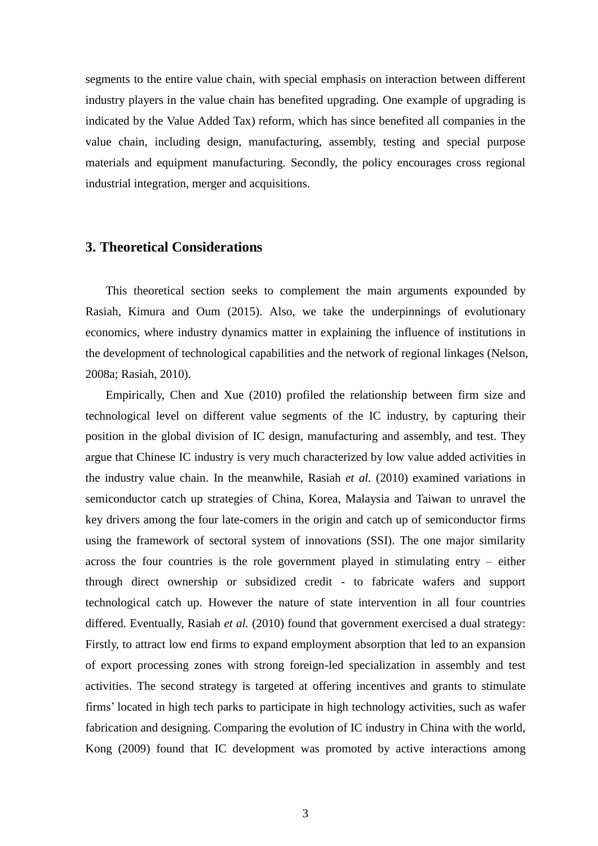segments to the entire value chain, with special emphasis on interaction between different industry players in the value chain has benefited upgrading. One example of upgrading is indicated by the Value Added Tax) reform, which has since benefited all companies in the value chain, including design, manufacturing, assembly, testing and special purpose materials and equipment manufacturing. Secondly, the policy encourages cross regional industrial integration, merger and acquisitions.

## **3. Theoretical Considerations**

This theoretical section seeks to complement the main arguments expounded by Rasiah, Kimura and Oum (2015). Also, we take the underpinnings of evolutionary economics, where industry dynamics matter in explaining the influence of institutions in the development of technological capabilities and the network of regional linkages (Nelson, 2008a; Rasiah, 2010).

Empirically, Chen and Xue (2010) profiled the relationship between firm size and technological level on different value segments of the IC industry, by capturing their position in the global division of IC design, manufacturing and assembly, and test. They argue that Chinese IC industry is very much characterized by low value added activities in the industry value chain. In the meanwhile, Rasiah *et al.* (2010) examined variations in semiconductor catch up strategies of China, Korea, Malaysia and Taiwan to unravel the key drivers among the four late-comers in the origin and catch up of semiconductor firms using the framework of sectoral system of innovations (SSI). The one major similarity across the four countries is the role government played in stimulating entry – either through direct ownership or subsidized credit - to fabricate wafers and support technological catch up. However the nature of state intervention in all four countries differed. Eventually, Rasiah *et al.* (2010) found that government exercised a dual strategy: Firstly, to attract low end firms to expand employment absorption that led to an expansion of export processing zones with strong foreign-led specialization in assembly and test activities. The second strategy is targeted at offering incentives and grants to stimulate firms' located in high tech parks to participate in high technology activities, such as wafer fabrication and designing. Comparing the evolution of IC industry in China with the world, Kong (2009) found that IC development was promoted by active interactions among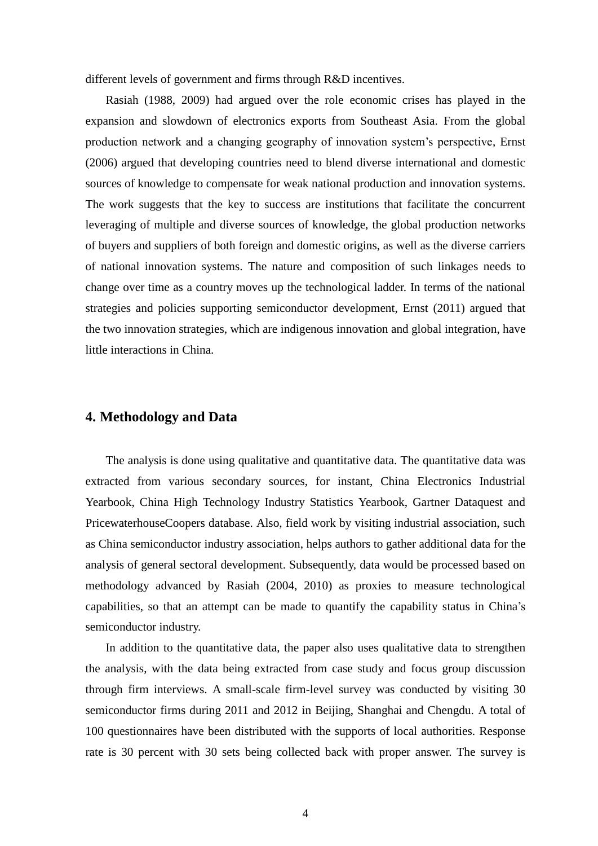different levels of government and firms through R&D incentives.

Rasiah (1988, 2009) had argued over the role economic crises has played in the expansion and slowdown of electronics exports from Southeast Asia. From the global production network and a changing geography of innovation system's perspective, Ernst (2006) argued that developing countries need to blend diverse international and domestic sources of knowledge to compensate for weak national production and innovation systems. The work suggests that the key to success are institutions that facilitate the concurrent leveraging of multiple and diverse sources of knowledge, the global production networks of buyers and suppliers of both foreign and domestic origins, as well as the diverse carriers of national innovation systems. The nature and composition of such linkages needs to change over time as a country moves up the technological ladder. In terms of the national strategies and policies supporting semiconductor development, Ernst (2011) argued that the two innovation strategies, which are indigenous innovation and global integration, have little interactions in China.

#### **4. Methodology and Data**

The analysis is done using qualitative and quantitative data. The quantitative data was extracted from various secondary sources, for instant, China Electronics Industrial Yearbook, China High Technology Industry Statistics Yearbook, Gartner Dataquest and PricewaterhouseCoopers database. Also, field work by visiting industrial association, such as China semiconductor industry association, helps authors to gather additional data for the analysis of general sectoral development. Subsequently, data would be processed based on methodology advanced by Rasiah (2004, 2010) as proxies to measure technological capabilities, so that an attempt can be made to quantify the capability status in China's semiconductor industry.

In addition to the quantitative data, the paper also uses qualitative data to strengthen the analysis, with the data being extracted from case study and focus group discussion through firm interviews. A small-scale firm-level survey was conducted by visiting 30 semiconductor firms during 2011 and 2012 in Beijing, Shanghai and Chengdu. A total of 100 questionnaires have been distributed with the supports of local authorities. Response rate is 30 percent with 30 sets being collected back with proper answer. The survey is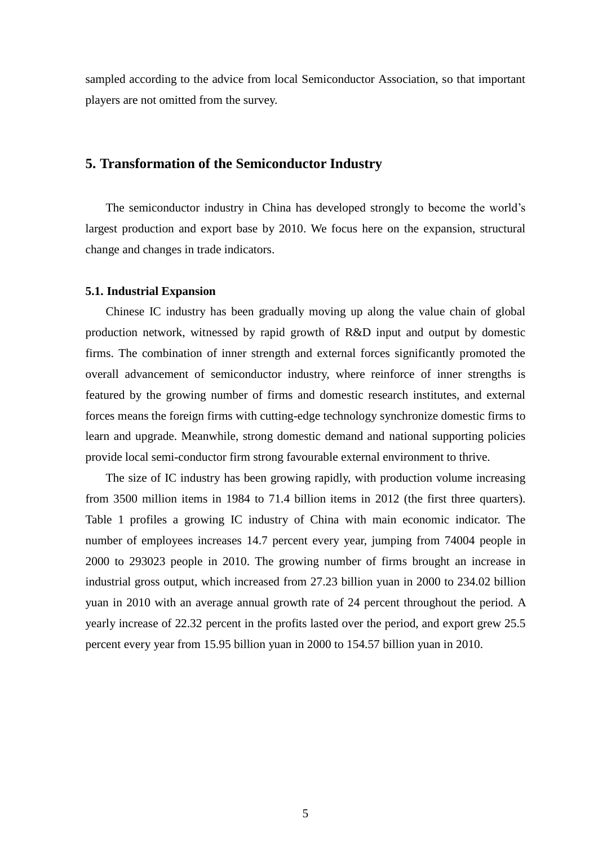sampled according to the advice from local Semiconductor Association, so that important players are not omitted from the survey.

## **5. Transformation of the Semiconductor Industry**

The semiconductor industry in China has developed strongly to become the world's largest production and export base by 2010. We focus here on the expansion, structural change and changes in trade indicators.

#### **5.1. Industrial Expansion**

Chinese IC industry has been gradually moving up along the value chain of global production network, witnessed by rapid growth of R&D input and output by domestic firms. The combination of inner strength and external forces significantly promoted the overall advancement of semiconductor industry, where reinforce of inner strengths is featured by the growing number of firms and domestic research institutes, and external forces means the foreign firms with cutting-edge technology synchronize domestic firms to learn and upgrade. Meanwhile, strong domestic demand and national supporting policies provide local semi-conductor firm strong favourable external environment to thrive.

The size of IC industry has been growing rapidly, with production volume increasing from 3500 million items in 1984 to 71.4 billion items in 2012 (the first three quarters). Table 1 profiles a growing IC industry of China with main economic indicator. The number of employees increases 14.7 percent every year, jumping from 74004 people in 2000 to 293023 people in 2010. The growing number of firms brought an increase in industrial gross output, which increased from 27.23 billion yuan in 2000 to 234.02 billion yuan in 2010 with an average annual growth rate of 24 percent throughout the period. A yearly increase of 22.32 percent in the profits lasted over the period, and export grew 25.5 percent every year from 15.95 billion yuan in 2000 to 154.57 billion yuan in 2010.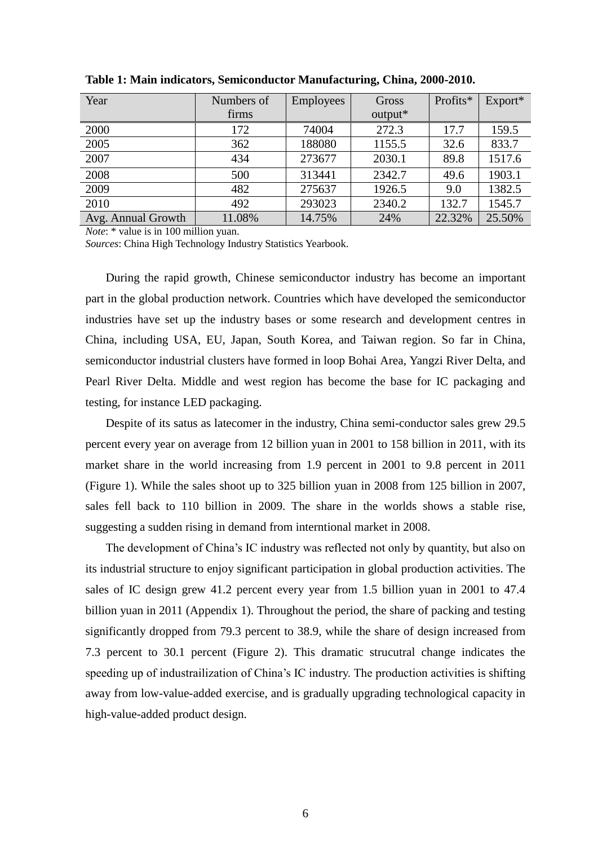| Year               | Numbers of | <b>Employees</b> | Gross   | Profits* | Export* |
|--------------------|------------|------------------|---------|----------|---------|
|                    | firms      |                  | output* |          |         |
| 2000               | 172        | 74004            | 272.3   | 17.7     | 159.5   |
| 2005               | 362        | 188080           | 1155.5  | 32.6     | 833.7   |
| 2007               | 434        | 273677           | 2030.1  | 89.8     | 1517.6  |
| 2008               | 500        | 313441           | 2342.7  | 49.6     | 1903.1  |
| 2009               | 482        | 275637           | 1926.5  | 9.0      | 1382.5  |
| 2010               | 492        | 293023           | 2340.2  | 132.7    | 1545.7  |
| Avg. Annual Growth | 11.08%     | 14.75%           | 24%     | 22.32%   | 25.50%  |

**Table 1: Main indicators, Semiconductor Manufacturing, China, 2000-2010.** 

*Note*: \* value is in 100 million yuan.

*Sources*: China High Technology Industry Statistics Yearbook.

During the rapid growth, Chinese semiconductor industry has become an important part in the global production network. Countries which have developed the semiconductor industries have set up the industry bases or some research and development centres in China, including USA, EU, Japan, South Korea, and Taiwan region. So far in China, semiconductor industrial clusters have formed in loop Bohai Area, Yangzi River Delta, and Pearl River Delta. Middle and west region has become the base for IC packaging and testing, for instance LED packaging.

Despite of its satus as latecomer in the industry, China semi-conductor sales grew 29.5 percent every year on average from 12 billion yuan in 2001 to 158 billion in 2011, with its market share in the world increasing from 1.9 percent in 2001 to 9.8 percent in 2011 (Figure 1). While the sales shoot up to 325 billion yuan in 2008 from 125 billion in 2007, sales fell back to 110 billion in 2009. The share in the worlds shows a stable rise, suggesting a sudden rising in demand from interntional market in 2008.

The development of China's IC industry was reflected not only by quantity, but also on its industrial structure to enjoy significant participation in global production activities. The sales of IC design grew 41.2 percent every year from 1.5 billion yuan in 2001 to 47.4 billion yuan in 2011 (Appendix 1). Throughout the period, the share of packing and testing significantly dropped from 79.3 percent to 38.9, while the share of design increased from 7.3 percent to 30.1 percent (Figure 2). This dramatic strucutral change indicates the speeding up of industrailization of China's IC industry. The production activities is shifting away from low-value-added exercise, and is gradually upgrading technological capacity in high-value-added product design.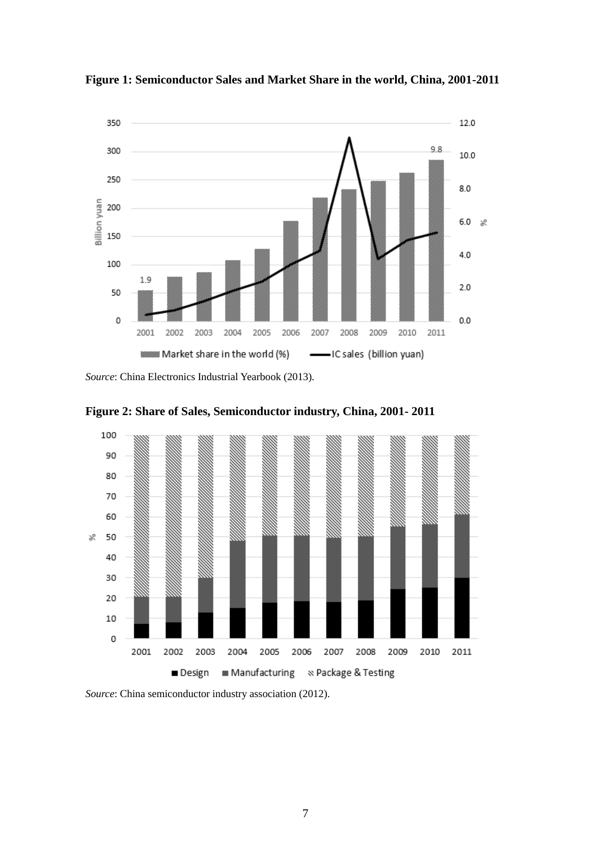

**Figure 1: Semiconductor Sales and Market Share in the world, China, 2001-2011** 

*Source*: China Electronics Industrial Yearbook (2013).



**Figure 2: Share of Sales, Semiconductor industry, China, 2001- 2011**

*Source*: China semiconductor industry association (2012).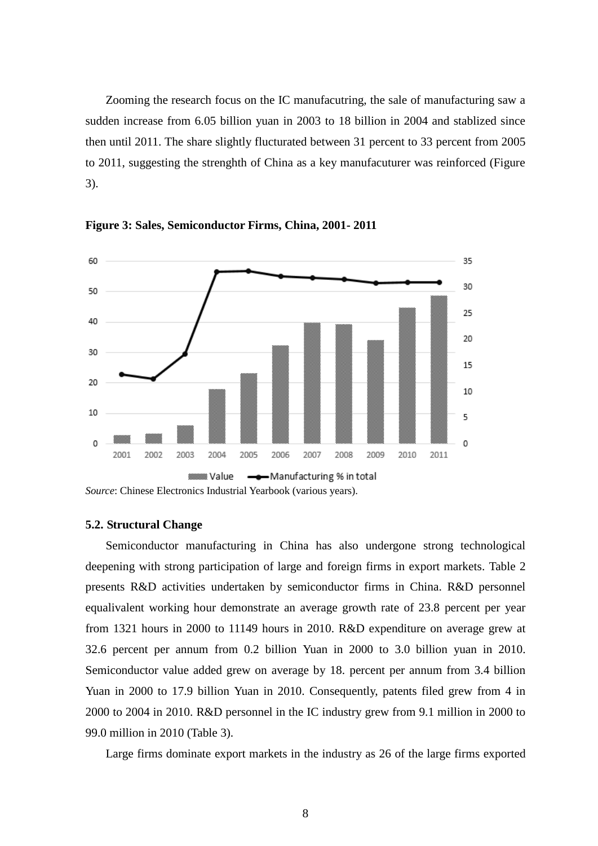Zooming the research focus on the IC manufacutring, the sale of manufacturing saw a sudden increase from 6.05 billion yuan in 2003 to 18 billion in 2004 and stablized since then until 2011. The share slightly flucturated between 31 percent to 33 percent from 2005 to 2011, suggesting the strenghth of China as a key manufacuturer was reinforced (Figure 3).



**Figure 3: Sales, Semiconductor Firms, China, 2001- 2011**

#### **5.2. Structural Change**

Semiconductor manufacturing in China has also undergone strong technological deepening with strong participation of large and foreign firms in export markets. Table 2 presents R&D activities undertaken by semiconductor firms in China. R&D personnel equalivalent working hour demonstrate an average growth rate of 23.8 percent per year from 1321 hours in 2000 to 11149 hours in 2010. R&D expenditure on average grew at 32.6 percent per annum from 0.2 billion Yuan in 2000 to 3.0 billion yuan in 2010. Semiconductor value added grew on average by 18. percent per annum from 3.4 billion Yuan in 2000 to 17.9 billion Yuan in 2010. Consequently, patents filed grew from 4 in 2000 to 2004 in 2010. R&D personnel in the IC industry grew from 9.1 million in 2000 to 99.0 million in 2010 (Table 3).

Large firms dominate export markets in the industry as 26 of the large firms exported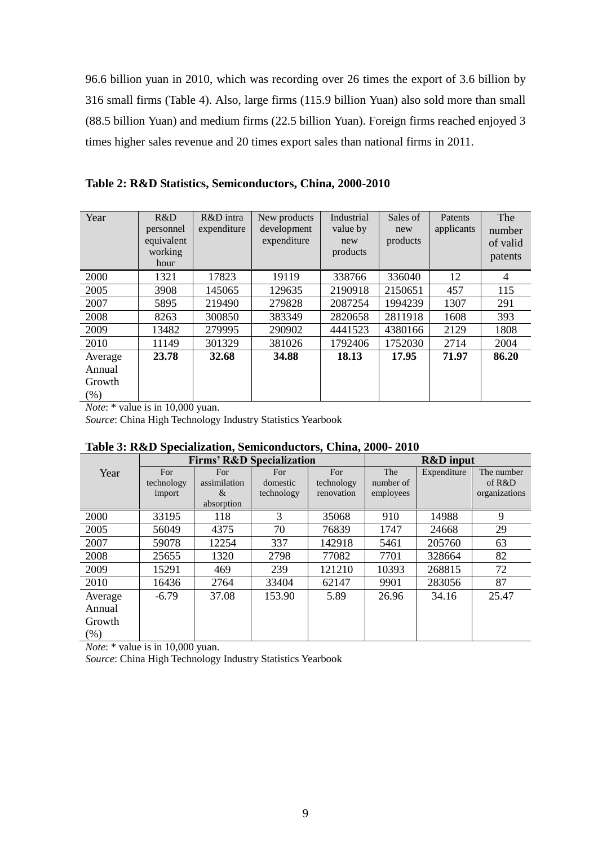96.6 billion yuan in 2010, which was recording over 26 times the export of 3.6 billion by 316 small firms (Table 4). Also, large firms (115.9 billion Yuan) also sold more than small (88.5 billion Yuan) and medium firms (22.5 billion Yuan). Foreign firms reached enjoyed 3 times higher sales revenue and 20 times export sales than national firms in 2011.

| Year                                   | R&D<br>personnel<br>equivalent<br>working<br>hour | R&D intra<br>expenditure | New products<br>development<br>expenditure | Industrial<br>value by<br>new<br>products | Sales of<br>new<br>products | Patents<br>applicants | The<br>number<br>of valid<br>patents |
|----------------------------------------|---------------------------------------------------|--------------------------|--------------------------------------------|-------------------------------------------|-----------------------------|-----------------------|--------------------------------------|
| 2000                                   | 1321                                              | 17823                    | 19119                                      | 338766                                    | 336040                      | 12                    | $\overline{4}$                       |
| 2005                                   | 3908                                              | 145065                   | 129635                                     | 2190918                                   | 2150651                     | 457                   | 115                                  |
| 2007                                   | 5895                                              | 219490                   | 279828                                     | 2087254                                   | 1994239                     | 1307                  | 291                                  |
| 2008                                   | 8263                                              | 300850                   | 383349                                     | 2820658                                   | 2811918                     | 1608                  | 393                                  |
| 2009                                   | 13482                                             | 279995                   | 290902                                     | 4441523                                   | 4380166                     | 2129                  | 1808                                 |
| 2010                                   | 11149                                             | 301329                   | 381026                                     | 1792406                                   | 1752030                     | 2714                  | 2004                                 |
| Average<br>Annual<br>Growth<br>$(\% )$ | 23.78                                             | 32.68                    | 34.88                                      | 18.13                                     | 17.95                       | 71.97                 | 86.20                                |

**Table 2: R&D Statistics, Semiconductors, China, 2000-2010**

*Note*: \* value is in 10,000 yuan.

*Source*: China High Technology Industry Statistics Yearbook

|         |            | <b>Firms' R&amp;D Specialization</b> |            |            |           | <b>R&amp;D</b> input |               |
|---------|------------|--------------------------------------|------------|------------|-----------|----------------------|---------------|
| Year    | For        | For                                  | For        | For        | The       | Expenditure          | The number    |
|         | technology | assimilation                         | domestic   | technology | number of |                      | of R&D        |
|         | import     | $\&$                                 | technology | renovation | employees |                      | organizations |
|         |            | absorption                           |            |            |           |                      |               |
| 2000    | 33195      | 118                                  | 3          | 35068      | 910       | 14988                | 9             |
| 2005    | 56049      | 4375                                 | 70         | 76839      | 1747      | 24668                | 29            |
| 2007    | 59078      | 12254                                | 337        | 142918     | 5461      | 205760               | 63            |
| 2008    | 25655      | 1320                                 | 2798       | 77082      | 7701      | 328664               | 82            |
| 2009    | 15291      | 469                                  | 239        | 121210     | 10393     | 268815               | 72            |
| 2010    | 16436      | 2764                                 | 33404      | 62147      | 9901      | 283056               | 87            |
| Average | $-6.79$    | 37.08                                | 153.90     | 5.89       | 26.96     | 34.16                | 25.47         |
| Annual  |            |                                      |            |            |           |                      |               |
| Growth  |            |                                      |            |            |           |                      |               |
| $(\%)$  |            |                                      |            |            |           |                      |               |

**Table 3: R&D Specialization, Semiconductors, China, 2000- 2010**

*Note*: \* value is in 10,000 yuan.

*Source*: China High Technology Industry Statistics Yearbook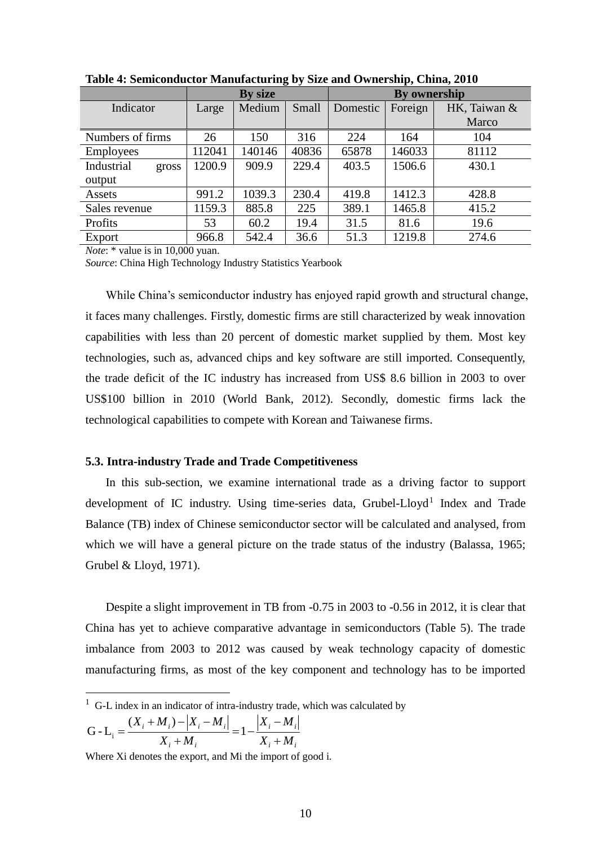|                     |        | By size |       |          | <b>By ownership</b> |              |
|---------------------|--------|---------|-------|----------|---------------------|--------------|
| Indicator           | Large  | Medium  | Small | Domestic | Foreign             | HK, Taiwan & |
|                     |        |         |       |          |                     | Marco        |
| Numbers of firms    | 26     | 150     | 316   | 224      | 164                 | 104          |
| <b>Employees</b>    | 112041 | 140146  | 40836 | 65878    | 146033              | 81112        |
| Industrial<br>gross | 1200.9 | 909.9   | 229.4 | 403.5    | 1506.6              | 430.1        |
| output              |        |         |       |          |                     |              |
| Assets              | 991.2  | 1039.3  | 230.4 | 419.8    | 1412.3              | 428.8        |
| Sales revenue       | 1159.3 | 885.8   | 225   | 389.1    | 1465.8              | 415.2        |
| Profits             | 53     | 60.2    | 19.4  | 31.5     | 81.6                | 19.6         |
| Export              | 966.8  | 542.4   | 36.6  | 51.3     | 1219.8              | 274.6        |

**Table 4: Semiconductor Manufacturing by Size and Ownership, China, 2010**

*Note*: \* value is in 10,000 yuan.

*Source*: China High Technology Industry Statistics Yearbook

While China's semiconductor industry has enjoyed rapid growth and structural change, it faces many challenges. Firstly, domestic firms are still characterized by weak innovation capabilities with less than 20 percent of domestic market supplied by them. Most key technologies, such as, advanced chips and key software are still imported. Consequently, the trade deficit of the IC industry has increased from US\$ 8.6 billion in 2003 to over US\$100 billion in 2010 (World Bank, 2012). Secondly, domestic firms lack the technological capabilities to compete with Korean and Taiwanese firms.

#### **5.3. Intra-industry Trade and Trade Competitiveness**

In this sub-section, we examine international trade as a driving factor to support development of IC industry. Using time-series data, Grubel-Lloyd<sup>1</sup> Index and Trade Balance (TB) index of Chinese semiconductor sector will be calculated and analysed, from which we will have a general picture on the trade status of the industry [\(Balassa, 1965;](#page-16-0) [Grubel & Lloyd, 1971\)](#page-17-0).

Despite a slight improvement in TB from -0.75 in 2003 to -0.56 in 2012, it is clear that China has yet to achieve comparative advantage in semiconductors (Table 5). The trade imbalance from 2003 to 2012 was caused by weak technology capacity of domestic manufacturing firms, as most of the key component and technology has to be imported

$$
G - L_i = \frac{(X_i + M_i) - |X_i - M_i|}{X_i + M_i} = 1 - \frac{|X_i - M_i|}{X_i + M_i}
$$

-

Where Xi denotes the [export,](http://en.wikipedia.org/wiki/Export) and Mi the [import](http://en.wikipedia.org/wiki/Import) of good i.

 $1 \text{ G-L}$  index in an indicator of intra-industry trade, which was calculated by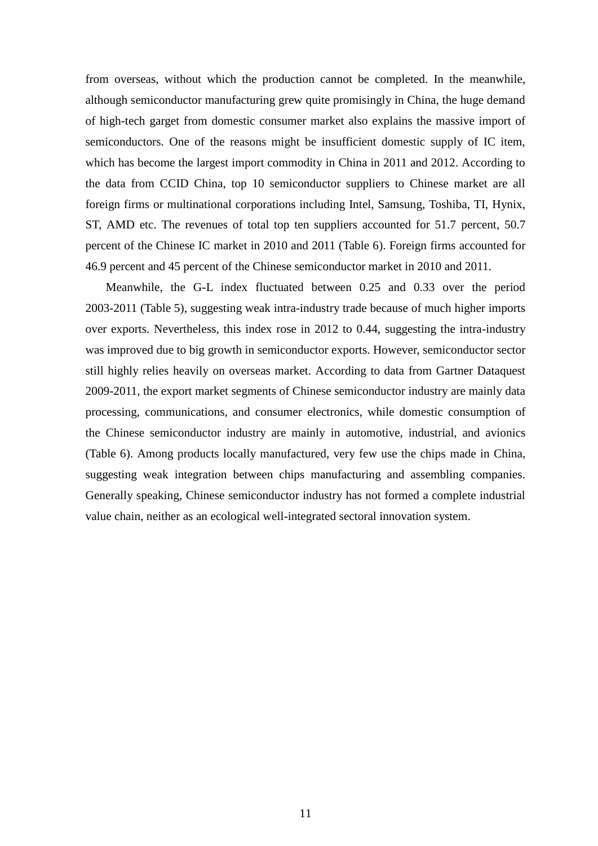from overseas, without which the production cannot be completed. In the meanwhile, although semiconductor manufacturing grew quite promisingly in China, the huge demand of high-tech garget from domestic consumer market also explains the massive import of semiconductors. One of the reasons might be insufficient domestic supply of IC item, which has become the largest import commodity in China in 2011 and 2012. According to the data from CCID China, top 10 semiconductor suppliers to Chinese market are all foreign firms or multinational corporations including Intel, Samsung, Toshiba, TI, Hynix, ST, AMD etc. The revenues of total top ten suppliers accounted for 51.7 percent, 50.7 percent of the Chinese IC market in 2010 and 2011 (Table 6). Foreign firms accounted for 46.9 percent and 45 percent of the Chinese semiconductor market in 2010 and 2011.

Meanwhile, the G-L index fluctuated between 0.25 and 0.33 over the period 2003-2011 (Table 5), suggesting weak intra-industry trade because of much higher imports over exports. Nevertheless, this index rose in 2012 to 0.44, suggesting the intra-industry was improved due to big growth in semiconductor exports. However, semiconductor sector still highly relies heavily on overseas market. According to data from Gartner Dataquest 2009-2011, the export market segments of Chinese semiconductor industry are mainly data processing, communications, and consumer electronics, while domestic consumption of the Chinese semiconductor industry are mainly in automotive, industrial, and avionics (Table 6). Among products locally manufactured, very few use the chips made in China, suggesting weak integration between chips manufacturing and assembling companies. Generally speaking, Chinese semiconductor industry has not formed a complete industrial value chain, neither as an ecological well-integrated sectoral innovation system.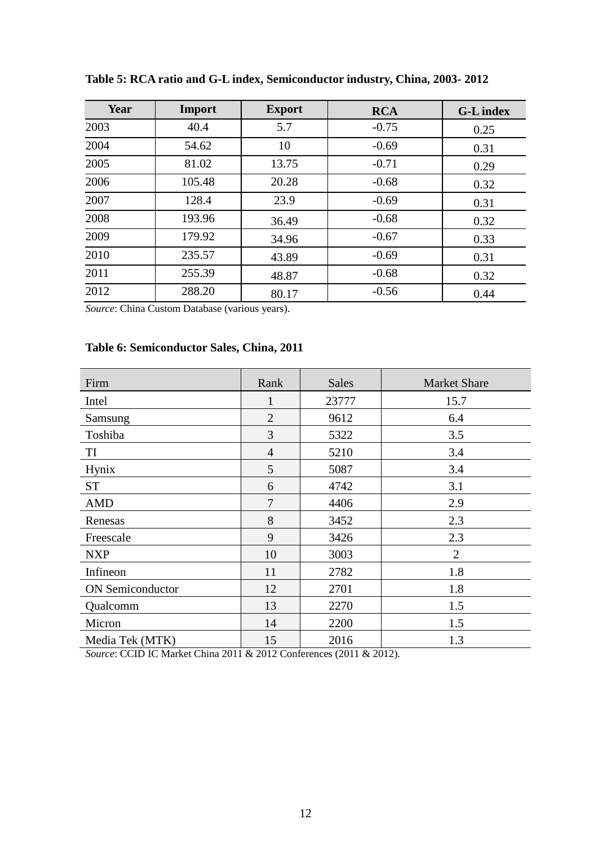| Year | Import | <b>Export</b> | <b>RCA</b> | <b>G-L</b> index |
|------|--------|---------------|------------|------------------|
| 2003 | 40.4   | 5.7           | $-0.75$    | 0.25             |
| 2004 | 54.62  | 10            | $-0.69$    | 0.31             |
| 2005 | 81.02  | 13.75         | $-0.71$    | 0.29             |
| 2006 | 105.48 | 20.28         | $-0.68$    | 0.32             |
| 2007 | 128.4  | 23.9          | $-0.69$    | 0.31             |
| 2008 | 193.96 | 36.49         | $-0.68$    | 0.32             |
| 2009 | 179.92 | 34.96         | $-0.67$    | 0.33             |
| 2010 | 235.57 | 43.89         | $-0.69$    | 0.31             |
| 2011 | 255.39 | 48.87         | $-0.68$    | 0.32             |
| 2012 | 288.20 | 80.17         | $-0.56$    | 0.44             |

**Table 5: RCA ratio and G-L index, Semiconductor industry, China, 2003- 2012**

*Source*: China Custom Database (various years).

## **Table 6: Semiconductor Sales, China, 2011**

| Firm                    | Rank           | <b>Sales</b> | <b>Market Share</b> |
|-------------------------|----------------|--------------|---------------------|
| Intel                   |                | 23777        | 15.7                |
| Samsung                 | $\overline{2}$ | 9612         | 6.4                 |
| Toshiba                 | 3              | 5322         | 3.5                 |
| TI                      | $\overline{4}$ | 5210         | 3.4                 |
| <b>Hynix</b>            | 5              | 5087         | 3.4                 |
| <b>ST</b>               | 6              | 4742         | 3.1                 |
| <b>AMD</b>              | 7              | 4406         | 2.9                 |
| Renesas                 | 8              | 3452         | 2.3                 |
| Freescale               | 9              | 3426         | 2.3                 |
| <b>NXP</b>              | 10             | 3003         | $\overline{2}$      |
| Infineon                | 11             | 2782         | 1.8                 |
| <b>ON</b> Semiconductor | 12             | 2701         | 1.8                 |
| Qualcomm                | 13             | 2270         | 1.5                 |
| Micron                  | 14             | 2200         | 1.5                 |
| Media Tek (MTK)         | 15             | 2016         | 1.3                 |

*Source*: CCID IC Market China 2011 & 2012 Conferences (2011 & 2012).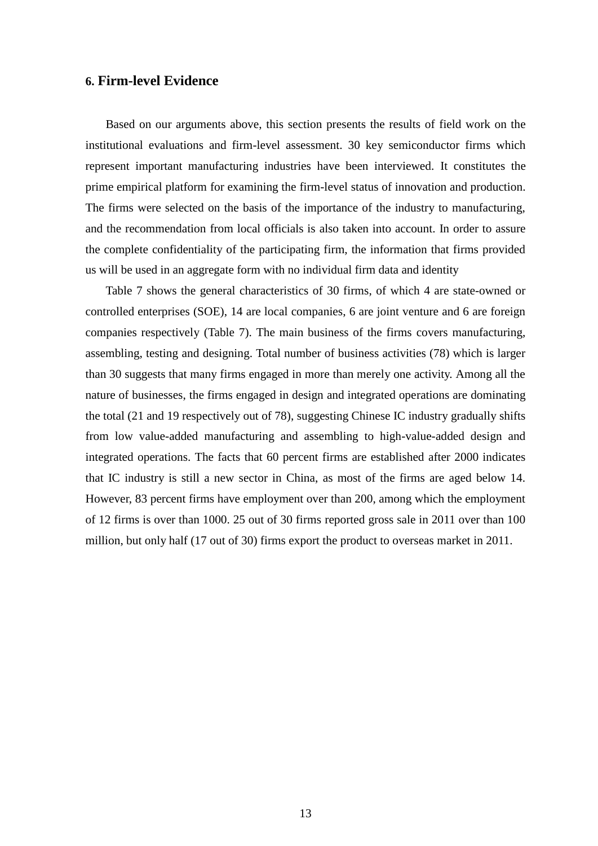### **6. Firm-level Evidence**

Based on our arguments above, this section presents the results of field work on the institutional evaluations and firm-level assessment. 30 key semiconductor firms which represent important manufacturing industries have been interviewed. It constitutes the prime empirical platform for examining the firm-level status of innovation and production. The firms were selected on the basis of the importance of the industry to manufacturing, and the recommendation from local officials is also taken into account. In order to assure the complete confidentiality of the participating firm, the information that firms provided us will be used in an aggregate form with no individual firm data and identity

Table 7 shows the general characteristics of 30 firms, of which 4 are state-owned or controlled enterprises (SOE), 14 are local companies, 6 are joint venture and 6 are foreign companies respectively (Table 7). The main business of the firms covers manufacturing, assembling, testing and designing. Total number of business activities (78) which is larger than 30 suggests that many firms engaged in more than merely one activity. Among all the nature of businesses, the firms engaged in design and integrated operations are dominating the total (21 and 19 respectively out of 78), suggesting Chinese IC industry gradually shifts from low value-added manufacturing and assembling to high-value-added design and integrated operations. The facts that 60 percent firms are established after 2000 indicates that IC industry is still a new sector in China, as most of the firms are aged below 14. However, 83 percent firms have employment over than 200, among which the employment of 12 firms is over than 1000. 25 out of 30 firms reported gross sale in 2011 over than 100 million, but only half (17 out of 30) firms export the product to overseas market in 2011.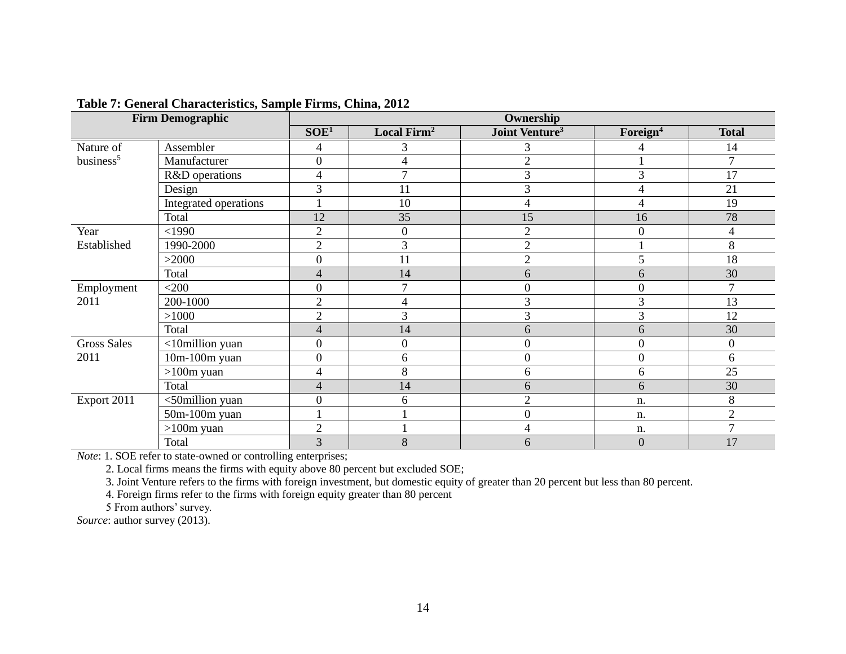|                       | <b>Firm Demographic</b> | Ownership                |                         |                            |                      |                  |  |  |
|-----------------------|-------------------------|--------------------------|-------------------------|----------------------------|----------------------|------------------|--|--|
|                       |                         | SOE <sup>1</sup>         | Local Firm <sup>2</sup> | Joint Venture <sup>3</sup> | Foreign <sup>4</sup> | <b>Total</b>     |  |  |
| Nature of             | Assembler               | $\overline{4}$           | 3                       | 3                          | 4                    | 14               |  |  |
| business <sup>5</sup> | Manufacturer            | $\boldsymbol{0}$         | 4                       | $\overline{2}$             |                      | $\overline{7}$   |  |  |
|                       | R&D operations          | $\overline{4}$           |                         | 3                          | 3                    | 17               |  |  |
|                       | Design                  | 3                        | 11                      | 3                          | $\overline{4}$       | 21               |  |  |
|                       | Integrated operations   | 1                        | 10                      | $\overline{\mathcal{A}}$   | 4                    | 19               |  |  |
|                       | Total                   | 12                       | 35                      | 15                         | 16                   | 78               |  |  |
| Year                  | $<$ 1990                | $\overline{2}$           | $\overline{0}$          | $\overline{2}$             | $\mathbf{0}$         | 4                |  |  |
| Established           | 1990-2000               | $\overline{c}$           | 3                       | $\overline{c}$             |                      | 8                |  |  |
|                       | >2000                   | $\boldsymbol{0}$         | 11                      | $\overline{c}$             | 5                    | 18               |  |  |
|                       | Total                   | $\overline{\mathcal{L}}$ | 14                      | 6                          | 6                    | 30               |  |  |
| Employment            | $<$ 200 $\,$            | $\boldsymbol{0}$         |                         | $\boldsymbol{0}$           | $\mathbf{0}$         | 7                |  |  |
| 2011                  | 200-1000                | $\overline{2}$           | 4                       | 3                          | 3                    | 13               |  |  |
|                       | >1000                   | $\overline{2}$           | 3                       | 3                          | 3                    | 12               |  |  |
|                       | Total                   | $\overline{\mathcal{L}}$ | 14                      | 6                          | 6                    | 30               |  |  |
| <b>Gross Sales</b>    | <10million yuan         | $\boldsymbol{0}$         | $\boldsymbol{0}$        | $\boldsymbol{0}$           | $\boldsymbol{0}$     | $\boldsymbol{0}$ |  |  |
| 2011                  | $10m-100m$ yuan         | $\boldsymbol{0}$         | 6                       | $\boldsymbol{0}$           | $\boldsymbol{0}$     | 6                |  |  |
|                       | $>100m$ yuan            | 4                        | 8                       | 6                          | 6                    | 25               |  |  |
|                       | Total                   | $\overline{\mathcal{L}}$ | 14                      | 6                          | 6                    | 30               |  |  |
| Export 2011           | <50million yuan         | $\mathbf{0}$             | 6                       | $\overline{2}$             | n.                   | 8                |  |  |
|                       | 50m-100m yuan           |                          |                         | $\boldsymbol{0}$           | n.                   | $\sqrt{2}$       |  |  |
|                       | $>100m$ yuan            | $\overline{c}$           |                         | $\overline{4}$             | n.                   | 7                |  |  |
|                       | Total                   | 3                        | 8                       | 6                          | $\boldsymbol{0}$     | 17               |  |  |

#### **Table 7: General Characteristics, Sample Firms, China, 2012**

*Note*: 1. SOE refer to state-owned or controlling enterprises;

2. Local firms means the firms with equity above 80 percent but excluded SOE;

3. Joint Venture refers to the firms with foreign investment, but domestic equity of greater than 20 percent but less than 80 percent.

4. Foreign firms refer to the firms with foreign equity greater than 80 percent

5 From authors' survey.

*Source*: author survey (2013).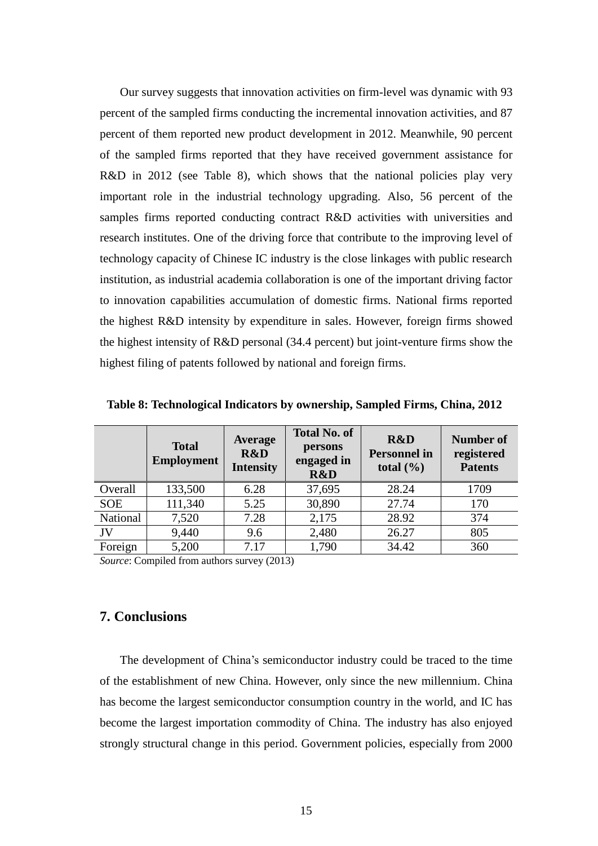Our survey suggests that innovation activities on firm-level was dynamic with 93 percent of the sampled firms conducting the incremental innovation activities, and 87 percent of them reported new product development in 2012. Meanwhile, 90 percent of the sampled firms reported that they have received government assistance for R&D in 2012 (see Table 8), which shows that the national policies play very important role in the industrial technology upgrading. Also, 56 percent of the samples firms reported conducting contract R&D activities with universities and research institutes. One of the driving force that contribute to the improving level of technology capacity of Chinese IC industry is the close linkages with public research institution, as industrial academia collaboration is one of the important driving factor to innovation capabilities accumulation of domestic firms. National firms reported the highest R&D intensity by expenditure in sales. However, foreign firms showed the highest intensity of R&D personal (34.4 percent) but joint-venture firms show the highest filing of patents followed by national and foreign firms.

|            | <b>Total</b><br><b>Employment</b> | <b>Average</b><br>R&D<br><b>Intensity</b> | <b>Total No. of</b><br>persons<br>engaged in<br>R&D | R&D<br><b>Personnel in</b><br>total $(\% )$ | <b>Number of</b><br>registered<br><b>Patents</b> |
|------------|-----------------------------------|-------------------------------------------|-----------------------------------------------------|---------------------------------------------|--------------------------------------------------|
| Overall    | 133,500                           | 6.28                                      | 37,695                                              | 28.24                                       | 1709                                             |
| <b>SOE</b> | 111,340                           | 5.25                                      | 30,890                                              | 27.74                                       | 170                                              |
| National   | 7,520                             | 7.28                                      | 2,175                                               | 28.92                                       | 374                                              |
| JV         | 9,440                             | 9.6                                       | 2,480                                               | 26.27                                       | 805                                              |
| Foreign    | 5,200                             | 7.17                                      | 1,790                                               | 34.42                                       | 360                                              |

**Table 8: Technological Indicators by ownership, Sampled Firms, China, 2012**

*Source*: Compiled from authors survey (2013)

## **7. Conclusions**

The development of China's semiconductor industry could be traced to the time of the establishment of new China. However, only since the new millennium. China has become the largest semiconductor consumption country in the world, and IC has become the largest importation commodity of China. The industry has also enjoyed strongly structural change in this period. Government policies, especially from 2000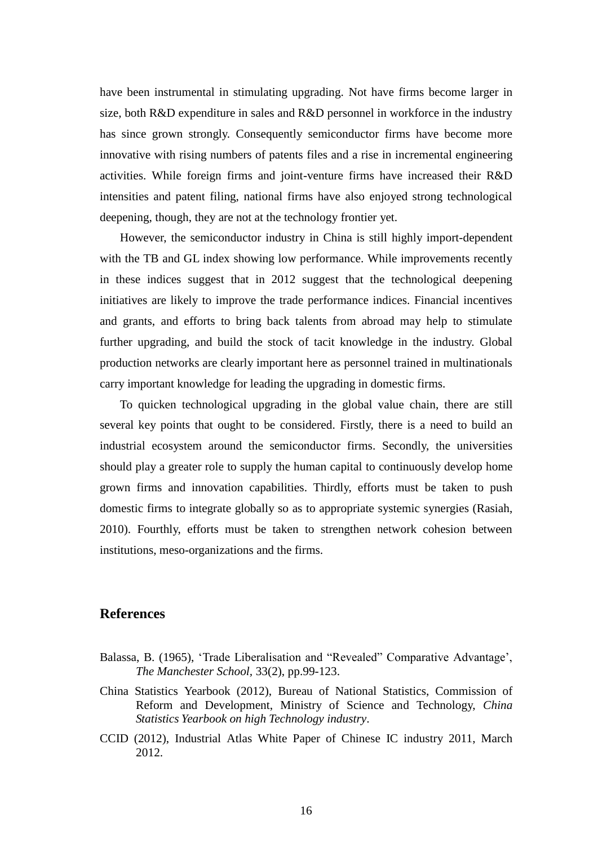have been instrumental in stimulating upgrading. Not have firms become larger in size, both R&D expenditure in sales and R&D personnel in workforce in the industry has since grown strongly. Consequently semiconductor firms have become more innovative with rising numbers of patents files and a rise in incremental engineering activities. While foreign firms and joint-venture firms have increased their R&D intensities and patent filing, national firms have also enjoyed strong technological deepening, though, they are not at the technology frontier yet.

However, the semiconductor industry in China is still highly import-dependent with the TB and GL index showing low performance. While improvements recently in these indices suggest that in 2012 suggest that the technological deepening initiatives are likely to improve the trade performance indices. Financial incentives and grants, and efforts to bring back talents from abroad may help to stimulate further upgrading, and build the stock of tacit knowledge in the industry. Global production networks are clearly important here as personnel trained in multinationals carry important knowledge for leading the upgrading in domestic firms.

To quicken technological upgrading in the global value chain, there are still several key points that ought to be considered. Firstly, there is a need to build an industrial ecosystem around the semiconductor firms. Secondly, the universities should play a greater role to supply the human capital to continuously develop home grown firms and innovation capabilities. Thirdly, efforts must be taken to push domestic firms to integrate globally so as to appropriate systemic synergies (Rasiah, 2010). Fourthly, efforts must be taken to strengthen network cohesion between institutions, meso-organizations and the firms.

## **References**

- <span id="page-16-0"></span>Balassa, B. (1965), 'Trade Liberalisation and "Revealed" Comparative Advantage', *The Manchester School,* 33(2), pp.99-123.
- China Statistics Yearbook (2012), Bureau of National Statistics, Commission of Reform and Development, Ministry of Science and Technology, *China Statistics Yearbook on high Technology industry*.
- CCID (2012), Industrial Atlas White Paper of Chinese IC industry 2011, March 2012.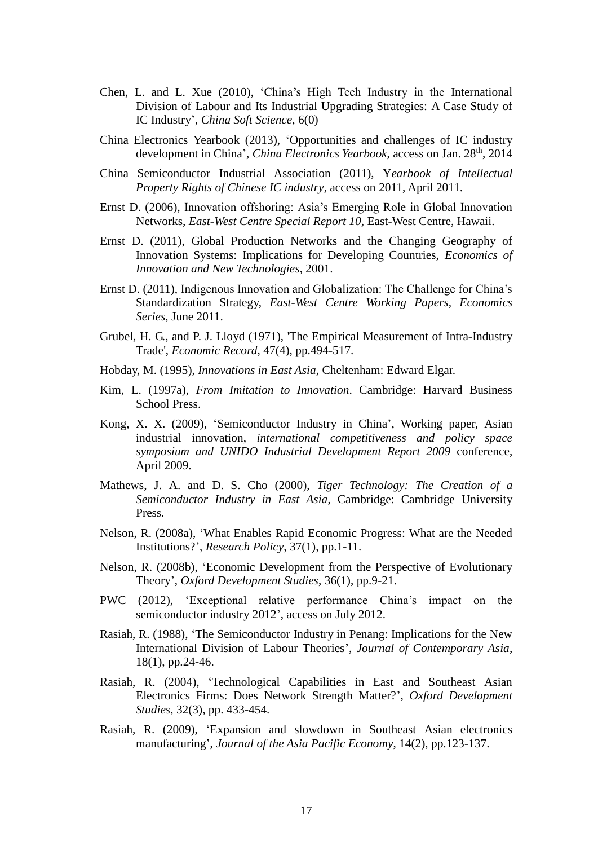- Chen, L. and L. Xue (2010), 'China's High Tech Industry in the International Division of Labour and Its Industrial Upgrading Strategies: A Case Study of IC Industry', *China Soft Science*, 6(0)
- China Electronics Yearbook (2013), 'Opportunities and challenges of IC industry development in China', *China Electronics Yearbook*, access on Jan. 28th, 2014
- China Semiconductor Industrial Association (2011), Y*earbook of Intellectual Property Rights of Chinese IC industry*, access on 2011, April 2011.
- Ernst D. (2006), Innovation offshoring: Asia's Emerging Role in Global Innovation Networks, *East-West Centre Special Report 10*, East-West Centre, Hawaii.
- Ernst D. (2011), Global Production Networks and the Changing Geography of Innovation Systems: Implications for Developing Countries, *Economics of Innovation and New Technologies*, 2001.
- Ernst D. (2011), Indigenous Innovation and Globalization: The Challenge for China's Standardization Strategy, *East-West Centre Working Papers, Economics Series*, June 2011.
- <span id="page-17-0"></span>Grubel, H. G., and P. J. Lloyd (1971), 'The Empirical Measurement of Intra-Industry Trade', *Economic Record,* 47(4), pp.494-517.
- Hobday, M. (1995), *Innovations in East Asia*, Cheltenham: Edward Elgar.
- Kim, L. (1997a), *From Imitation to Innovation*. Cambridge: Harvard Business School Press.
- Kong, X. X. (2009), 'Semiconductor Industry in China', Working paper, Asian industrial innovation, *international competitiveness and policy space symposium and UNIDO Industrial Development Report 2009* conference, April 2009.
- Mathews, J. A. and D. S. Cho (2000), *Tiger Technology: The Creation of a Semiconductor Industry in East Asia*, Cambridge: Cambridge University Press.
- Nelson, R. (2008a), 'What Enables Rapid Economic Progress: What are the Needed Institutions?', *Research Policy*, 37(1), pp.1-11.
- Nelson, R. (2008b), 'Economic Development from the Perspective of Evolutionary Theory', *Oxford Development Studies*, 36(1), pp.9-21.
- PWC (2012), 'Exceptional relative performance China's impact on the semiconductor industry 2012', access on July 2012.
- Rasiah, R. (1988), 'The Semiconductor Industry in Penang: Implications for the New International Division of Labour Theories', *Journal of Contemporary Asia*, 18(1), pp.24-46.
- Rasiah, R. (2004), 'Technological Capabilities in East and Southeast Asian Electronics Firms: Does Network Strength Matter?', *Oxford Development Studies*, 32(3), pp. 433-454.
- Rasiah, R. (2009), 'Expansion and slowdown in Southeast Asian electronics manufacturing', *Journal of the Asia Pacific Economy*, 14(2), pp.123-137.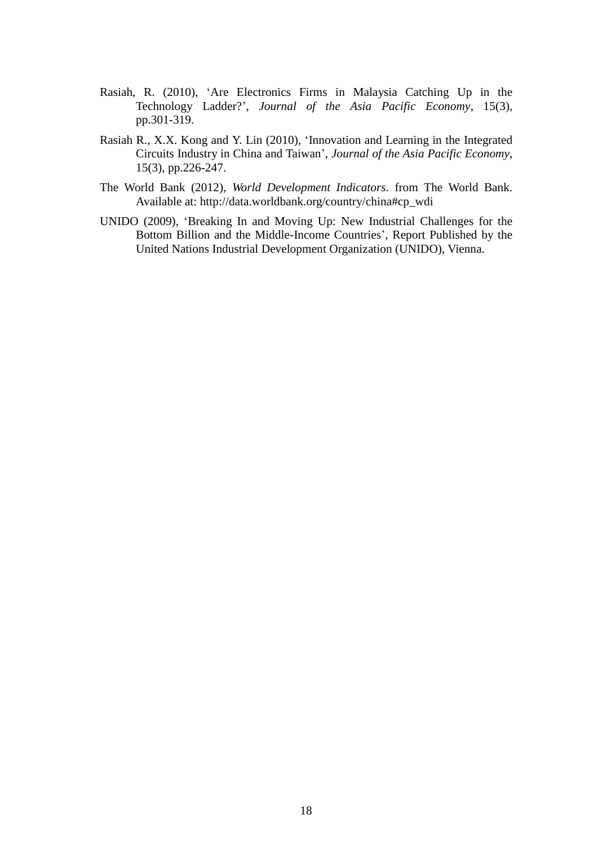- Rasiah, R. (2010), 'Are Electronics Firms in Malaysia Catching Up in the Technology Ladder?', *Journal of the Asia Pacific Economy*, 15(3), pp.301-319.
- Rasiah R., X.X. Kong and Y. Lin (2010), 'Innovation and Learning in the Integrated Circuits Industry in China and Taiwan', *Journal of the Asia Pacific Economy*, 15(3), pp.226-247.
- The World Bank (2012), *World Development Indicators*. from The World Bank. Available at: [http://data.worldbank.org/country/china#cp\\_wdi](http://data.worldbank.org/country/china#cp_wdi)
- UNIDO (2009), 'Breaking In and Moving Up: New Industrial Challenges for the Bottom Billion and the Middle-Income Countries', Report Published by the United Nations Industrial Development Organization (UNIDO), Vienna.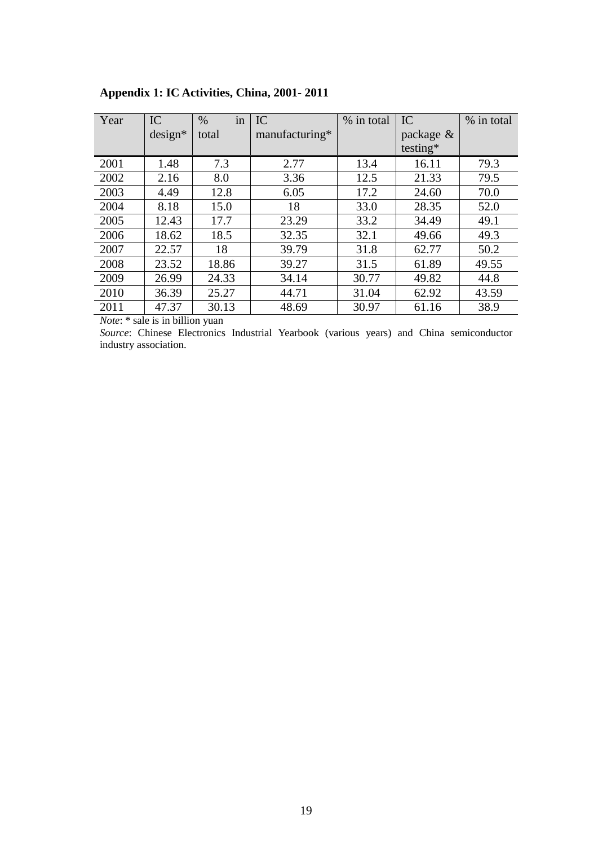| Year | IC        | in<br>$\%$ | IC             | % in total | IC        | % in total |
|------|-----------|------------|----------------|------------|-----------|------------|
|      | $design*$ | total      | manufacturing* |            | package & |            |
|      |           |            |                |            | testing*  |            |
| 2001 | 1.48      | 7.3        | 2.77           | 13.4       | 16.11     | 79.3       |
| 2002 | 2.16      | 8.0        | 3.36           | 12.5       | 21.33     | 79.5       |
| 2003 | 4.49      | 12.8       | 6.05           | 17.2       | 24.60     | 70.0       |
| 2004 | 8.18      | 15.0       | 18             | 33.0       | 28.35     | 52.0       |
| 2005 | 12.43     | 17.7       | 23.29          | 33.2       | 34.49     | 49.1       |
| 2006 | 18.62     | 18.5       | 32.35          | 32.1       | 49.66     | 49.3       |
| 2007 | 22.57     | 18         | 39.79          | 31.8       | 62.77     | 50.2       |
| 2008 | 23.52     | 18.86      | 39.27          | 31.5       | 61.89     | 49.55      |
| 2009 | 26.99     | 24.33      | 34.14          | 30.77      | 49.82     | 44.8       |
| 2010 | 36.39     | 25.27      | 44.71          | 31.04      | 62.92     | 43.59      |
| 2011 | 47.37     | 30.13      | 48.69          | 30.97      | 61.16     | 38.9       |

## **Appendix 1: IC Activities, China, 2001- 2011**

*Note*: \* sale is in billion yuan

*Source*: Chinese Electronics Industrial Yearbook (various years) and China semiconductor industry association.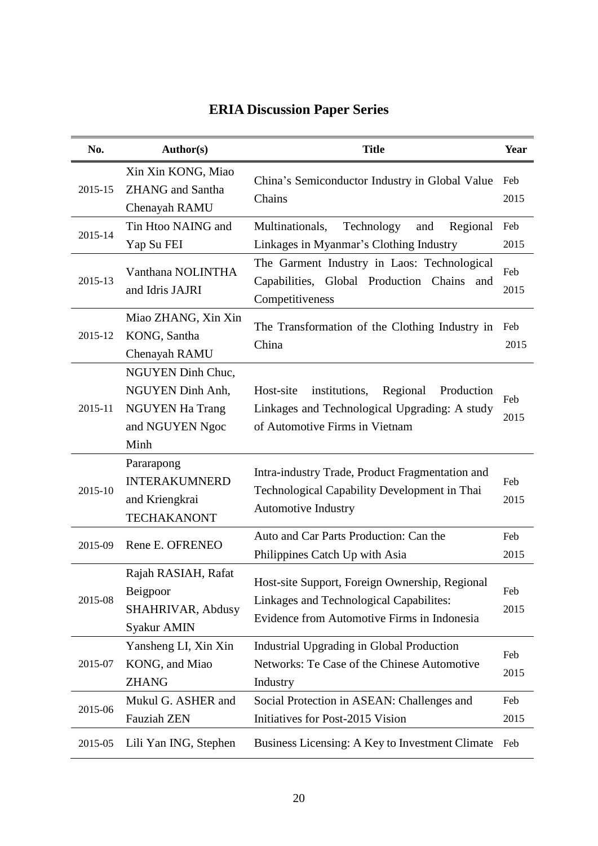| No.     | <b>Author(s)</b>                                                                           | <b>Title</b>                                                                                                                             | Year        |
|---------|--------------------------------------------------------------------------------------------|------------------------------------------------------------------------------------------------------------------------------------------|-------------|
| 2015-15 | Xin Xin KONG, Miao<br><b>ZHANG</b> and Santha<br>Chenayah RAMU                             | China's Semiconductor Industry in Global Value<br>Chains                                                                                 | Feb<br>2015 |
| 2015-14 | Tin Htoo NAING and<br>Yap Su FEI                                                           | Regional<br>Multinationals,<br>Technology<br>and<br>Linkages in Myanmar's Clothing Industry                                              | Feb<br>2015 |
| 2015-13 | Vanthana NOLINTHA<br>and Idris JAJRI                                                       | The Garment Industry in Laos: Technological<br>Capabilities, Global Production Chains<br>and<br>Competitiveness                          | Feb<br>2015 |
| 2015-12 | Miao ZHANG, Xin Xin<br>KONG, Santha<br>Chenayah RAMU                                       | The Transformation of the Clothing Industry in<br>China                                                                                  | Feb<br>2015 |
| 2015-11 | NGUYEN Dinh Chuc,<br>NGUYEN Dinh Anh,<br><b>NGUYEN Ha Trang</b><br>and NGUYEN Ngoc<br>Minh | institutions,<br>Regional<br>Host-site<br>Production<br>Linkages and Technological Upgrading: A study<br>of Automotive Firms in Vietnam  | Feb<br>2015 |
| 2015-10 | Pararapong<br><b>INTERAKUMNERD</b><br>and Kriengkrai<br><b>TECHAKANONT</b>                 | Intra-industry Trade, Product Fragmentation and<br>Technological Capability Development in Thai<br>Automotive Industry                   | Feb<br>2015 |
| 2015-09 | Rene E. OFRENEO                                                                            | Auto and Car Parts Production: Can the<br>Philippines Catch Up with Asia                                                                 | Feb<br>2015 |
| 2015-08 | Rajah RASIAH, Rafat<br>Beigpoor<br>SHAHRIVAR, Abdusy<br>Syakur AMIN                        | Host-site Support, Foreign Ownership, Regional<br>Linkages and Technological Capabilites:<br>Evidence from Automotive Firms in Indonesia | Feb<br>2015 |
| 2015-07 | Yansheng LI, Xin Xin<br>KONG, and Miao<br><b>ZHANG</b>                                     | Industrial Upgrading in Global Production<br>Networks: Te Case of the Chinese Automotive<br>Industry                                     | Feb<br>2015 |
| 2015-06 | Mukul G. ASHER and<br><b>Fauziah ZEN</b>                                                   | Social Protection in ASEAN: Challenges and<br>Initiatives for Post-2015 Vision                                                           | Feb<br>2015 |
| 2015-05 | Lili Yan ING, Stephen                                                                      | Business Licensing: A Key to Investment Climate                                                                                          | Feb         |

# **ERIA Discussion Paper Series**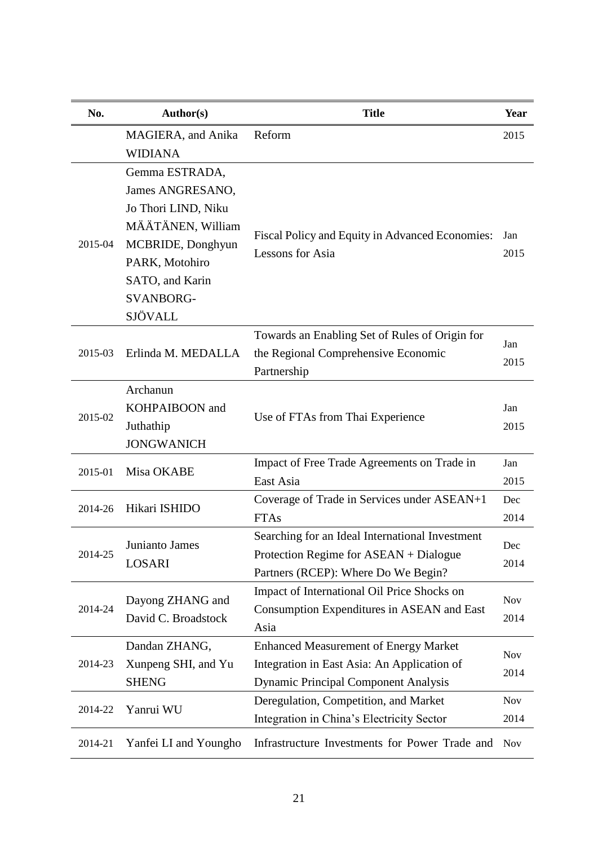| No.     | <b>Author(s)</b>      | <b>Title</b>                                    | <b>Year</b> |  |  |
|---------|-----------------------|-------------------------------------------------|-------------|--|--|
|         | MAGIERA, and Anika    | Reform                                          | 2015        |  |  |
|         | <b>WIDIANA</b>        |                                                 |             |  |  |
|         | Gemma ESTRADA,        |                                                 |             |  |  |
|         | James ANGRESANO,      |                                                 |             |  |  |
|         | Jo Thori LIND, Niku   |                                                 |             |  |  |
|         | MÄÄTÄNEN, William     | Fiscal Policy and Equity in Advanced Economies: | Jan         |  |  |
| 2015-04 | MCBRIDE, Donghyun     | Lessons for Asia                                | 2015        |  |  |
|         | PARK, Motohiro        |                                                 |             |  |  |
|         | SATO, and Karin       |                                                 |             |  |  |
|         | <b>SVANBORG-</b>      |                                                 |             |  |  |
|         | SJÖVALL               |                                                 |             |  |  |
|         |                       | Towards an Enabling Set of Rules of Origin for  | Jan         |  |  |
| 2015-03 | Erlinda M. MEDALLA    | the Regional Comprehensive Economic             | 2015        |  |  |
|         |                       | Partnership                                     |             |  |  |
| 2015-02 | Archanun              |                                                 |             |  |  |
|         | KOHPAIBOON and        | Use of FTAs from Thai Experience                | Jan         |  |  |
|         | Juthathip             |                                                 |             |  |  |
|         | <b>JONGWANICH</b>     |                                                 |             |  |  |
| 2015-01 | Misa OKABE            | Impact of Free Trade Agreements on Trade in     | Jan         |  |  |
|         |                       | East Asia                                       | 2015        |  |  |
| 2014-26 | Hikari ISHIDO         | Coverage of Trade in Services under ASEAN+1     | Dec         |  |  |
|         |                       | <b>FTAs</b>                                     | 2014        |  |  |
|         | Junianto James        | Searching for an Ideal International Investment | Dec         |  |  |
| 2014-25 | LOSARI                | Protection Regime for ASEAN + Dialogue          | 2014        |  |  |
|         |                       | Partners (RCEP): Where Do We Begin?             |             |  |  |
|         | Dayong ZHANG and      | Impact of International Oil Price Shocks on     | <b>Nov</b>  |  |  |
| 2014-24 | David C. Broadstock   | Consumption Expenditures in ASEAN and East      | 2014        |  |  |
|         |                       | Asia                                            |             |  |  |
|         | Dandan ZHANG,         | <b>Enhanced Measurement of Energy Market</b>    | <b>Nov</b>  |  |  |
| 2014-23 | Xunpeng SHI, and Yu   | Integration in East Asia: An Application of     | 2014        |  |  |
|         | <b>SHENG</b>          | <b>Dynamic Principal Component Analysis</b>     |             |  |  |
| 2014-22 | Yanrui WU             | Deregulation, Competition, and Market           | <b>Nov</b>  |  |  |
|         |                       | Integration in China's Electricity Sector       | 2014        |  |  |
| 2014-21 | Yanfei LI and Youngho | Infrastructure Investments for Power Trade and  | <b>Nov</b>  |  |  |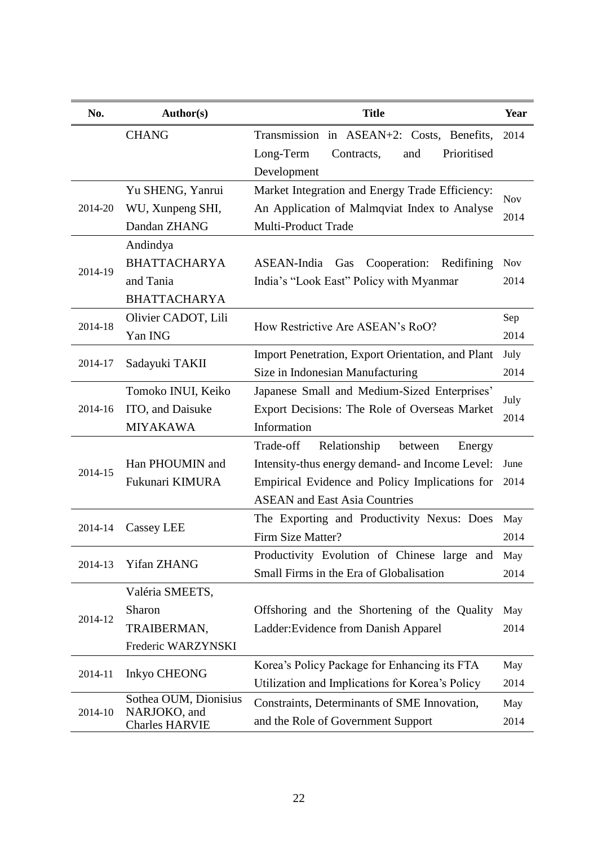| No.     | <b>Author(s)</b>                      | <b>Title</b>                                      | Year       |
|---------|---------------------------------------|---------------------------------------------------|------------|
|         | <b>CHANG</b>                          | Transmission in ASEAN+2: Costs, Benefits,         | 2014       |
|         |                                       | Long-Term<br>Prioritised<br>Contracts,<br>and     |            |
|         |                                       | Development                                       |            |
|         | Yu SHENG, Yanrui                      | Market Integration and Energy Trade Efficiency:   | <b>Nov</b> |
| 2014-20 | WU, Xunpeng SHI,                      | An Application of Malmqviat Index to Analyse      | 2014       |
|         | Dandan ZHANG                          | <b>Multi-Product Trade</b>                        |            |
|         | Andindya                              |                                                   |            |
| 2014-19 | <b>BHATTACHARYA</b>                   | ASEAN-India<br>Gas<br>Cooperation:<br>Redifining  | <b>Nov</b> |
|         | and Tania                             | India's "Look East" Policy with Myanmar           | 2014       |
|         | <b>BHATTACHARYA</b>                   |                                                   |            |
| 2014-18 | Olivier CADOT, Lili                   | How Restrictive Are ASEAN's RoO?                  | Sep        |
|         | Yan ING                               |                                                   | 2014       |
| 2014-17 |                                       | Import Penetration, Export Orientation, and Plant | July       |
|         | Sadayuki TAKII                        | Size in Indonesian Manufacturing                  | 2014       |
|         | Tomoko INUI, Keiko                    | Japanese Small and Medium-Sized Enterprises'      | July       |
| 2014-16 | ITO, and Daisuke                      | Export Decisions: The Role of Overseas Market     | 2014       |
|         | <b>MIYAKAWA</b>                       | Information                                       |            |
|         |                                       | Relationship<br>Trade-off<br>between<br>Energy    |            |
| 2014-15 | Han PHOUMIN and                       | Intensity-thus energy demand- and Income Level:   | June       |
|         | Fukunari KIMURA                       | Empirical Evidence and Policy Implications for    | 2014       |
|         |                                       | <b>ASEAN</b> and East Asia Countries              |            |
| 2014-14 |                                       | The Exporting and Productivity Nexus: Does        | May        |
|         | Cassey LEE                            | Firm Size Matter?                                 | 2014       |
| 2014-13 | Yifan ZHANG                           | Productivity Evolution of Chinese large and       | May        |
|         |                                       | Small Firms in the Era of Globalisation           | 2014       |
|         | Valéria SMEETS,                       |                                                   |            |
| 2014-12 | Sharon                                | Offshoring and the Shortening of the Quality      | May        |
|         | TRAIBERMAN,                           | Ladder: Evidence from Danish Apparel              | 2014       |
|         | Frederic WARZYNSKI                    |                                                   |            |
|         | <b>Inkyo CHEONG</b>                   | Korea's Policy Package for Enhancing its FTA      | May        |
| 2014-11 |                                       | Utilization and Implications for Korea's Policy   | 2014       |
|         | Sothea OUM, Dionisius                 | Constraints, Determinants of SME Innovation,      | May        |
| 2014-10 | NARJOKO, and<br><b>Charles HARVIE</b> | and the Role of Government Support                | 2014       |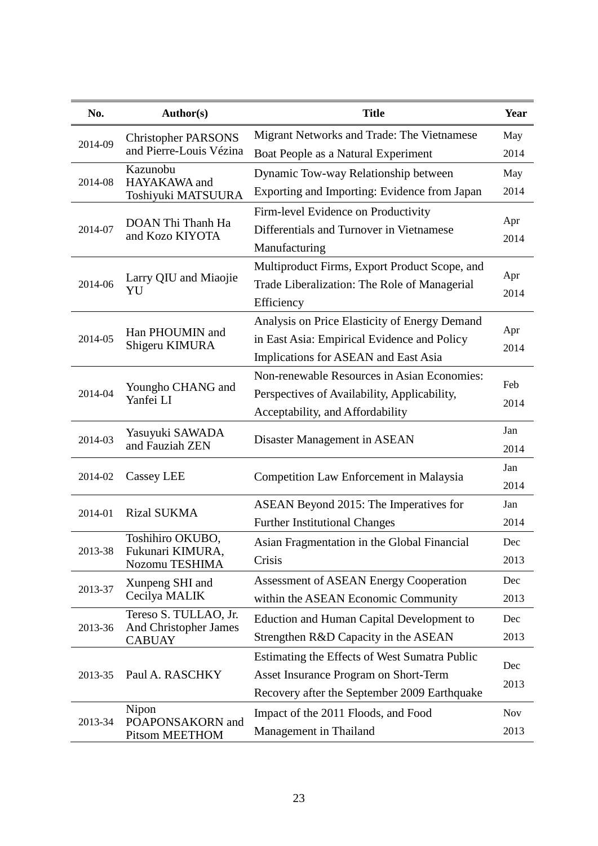| No.     | Author(s)                                                       | <b>Title</b>                                     | Year        |
|---------|-----------------------------------------------------------------|--------------------------------------------------|-------------|
| 2014-09 | <b>Christopher PARSONS</b><br>and Pierre-Louis Vézina           | Migrant Networks and Trade: The Vietnamese       | May         |
|         |                                                                 | Boat People as a Natural Experiment              | 2014        |
|         | Kazunobu                                                        | Dynamic Tow-way Relationship between             | May         |
| 2014-08 | HAYAKAWA and<br>Toshiyuki MATSUURA                              | Exporting and Importing: Evidence from Japan     | 2014        |
|         |                                                                 | Firm-level Evidence on Productivity              |             |
| 2014-07 | DOAN Thi Thanh Ha<br>and Kozo KIYOTA                            | Differentials and Turnover in Vietnamese         | Apr         |
|         |                                                                 | Manufacturing                                    | 2014        |
|         |                                                                 | Multiproduct Firms, Export Product Scope, and    |             |
| 2014-06 | Larry QIU and Miaojie<br>YU                                     | Trade Liberalization: The Role of Managerial     | Apr<br>2014 |
|         |                                                                 | Efficiency                                       |             |
|         |                                                                 | Analysis on Price Elasticity of Energy Demand    |             |
| 2014-05 | Han PHOUMIN and<br>Shigeru KIMURA                               | in East Asia: Empirical Evidence and Policy      | Apr<br>2014 |
|         |                                                                 | Implications for ASEAN and East Asia             |             |
|         | Youngho CHANG and<br>Yanfei LI                                  | Non-renewable Resources in Asian Economies:      | Feb<br>2014 |
| 2014-04 |                                                                 | Perspectives of Availability, Applicability,     |             |
|         |                                                                 | Acceptability, and Affordability                 |             |
| 2014-03 | Yasuyuki SAWADA<br>and Fauziah ZEN                              | Disaster Management in ASEAN                     | Jan         |
|         |                                                                 |                                                  | 2014        |
| 2014-02 | Cassey LEE                                                      | Competition Law Enforcement in Malaysia          | Jan         |
|         |                                                                 |                                                  | 2014        |
| 2014-01 | <b>Rizal SUKMA</b>                                              | ASEAN Beyond 2015: The Imperatives for           | Jan         |
|         |                                                                 | <b>Further Institutional Changes</b>             | 2014        |
| 2013-38 | Toshihiro OKUBO,<br>Fukunari KIMURA,<br>Nozomu TESHIMA          | Asian Fragmentation in the Global Financial      | Dec         |
|         |                                                                 | Crisis                                           | 2013        |
| 2013-37 | Xunpeng SHI and                                                 | <b>Assessment of ASEAN Energy Cooperation</b>    | Dec         |
|         | Cecilya MALIK                                                   | within the ASEAN Economic Community              | 2013        |
|         | Tereso S. TULLAO, Jr.<br>And Christopher James<br><b>CABUAY</b> | <b>Eduction and Human Capital Development to</b> | Dec         |
| 2013-36 |                                                                 | Strengthen R&D Capacity in the ASEAN             | 2013        |
| 2013-35 |                                                                 | Estimating the Effects of West Sumatra Public    | Dec<br>2013 |
|         | Paul A. RASCHKY                                                 | Asset Insurance Program on Short-Term            |             |
|         |                                                                 | Recovery after the September 2009 Earthquake     |             |
| 2013-34 | Nipon<br>POAPONSAKORN and<br>Pitsom MEETHOM                     | Impact of the 2011 Floods, and Food              | <b>Nov</b>  |
|         |                                                                 | Management in Thailand                           | 2013        |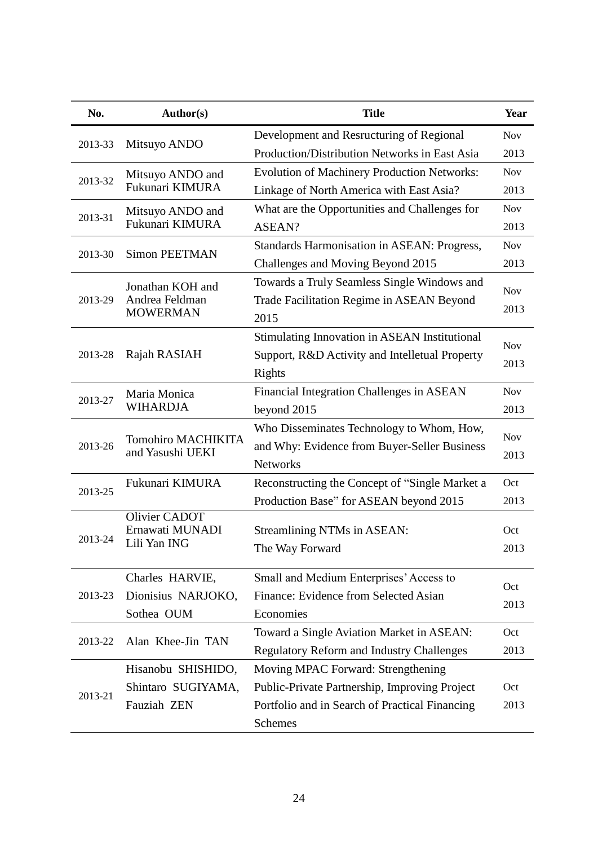| No.     | <b>Author(s)</b>                              | <b>Title</b>                                         | Year       |
|---------|-----------------------------------------------|------------------------------------------------------|------------|
| 2013-33 | Mitsuyo ANDO                                  | Development and Resructuring of Regional             | <b>Nov</b> |
|         |                                               | Production/Distribution Networks in East Asia        | 2013       |
|         | Mitsuyo ANDO and                              | <b>Evolution of Machinery Production Networks:</b>   | <b>Nov</b> |
| 2013-32 | Fukunari KIMURA                               | Linkage of North America with East Asia?             | 2013       |
| 2013-31 | Mitsuyo ANDO and                              | What are the Opportunities and Challenges for        | <b>Nov</b> |
|         | Fukunari KIMURA                               | ASEAN?                                               | 2013       |
| 2013-30 | <b>Simon PEETMAN</b>                          | Standards Harmonisation in ASEAN: Progress,          | <b>Nov</b> |
|         |                                               | Challenges and Moving Beyond 2015                    | 2013       |
|         | Jonathan KOH and                              | Towards a Truly Seamless Single Windows and          | <b>Nov</b> |
| 2013-29 | Andrea Feldman                                | Trade Facilitation Regime in ASEAN Beyond            | 2013       |
|         | <b>MOWERMAN</b>                               | 2015                                                 |            |
|         |                                               | <b>Stimulating Innovation in ASEAN Institutional</b> | <b>Nov</b> |
| 2013-28 | Rajah RASIAH                                  | Support, R&D Activity and Intelletual Property       | 2013       |
|         |                                               | <b>Rights</b>                                        |            |
| 2013-27 | Maria Monica<br><b>WIHARDJA</b>               | Financial Integration Challenges in ASEAN            | <b>Nov</b> |
|         |                                               | beyond 2015                                          | 2013       |
|         | <b>Tomohiro MACHIKITA</b><br>and Yasushi UEKI | Who Disseminates Technology to Whom, How,            | <b>Nov</b> |
| 2013-26 |                                               | and Why: Evidence from Buyer-Seller Business         | 2013       |
|         |                                               | <b>Networks</b>                                      |            |
| 2013-25 | Fukunari KIMURA                               | Reconstructing the Concept of "Single Market a       | Oct        |
|         |                                               | Production Base" for ASEAN beyond 2015               | 2013       |
|         | Olivier CADOT<br>Ernawati MUNADI              | Streamlining NTMs in ASEAN:                          | Oct        |
| 2013-24 | Lili Yan ING                                  | The Way Forward                                      | 2013       |
|         |                                               |                                                      |            |
|         | Charles HARVIE,                               | Small and Medium Enterprises' Access to              | Oct        |
| 2013-23 | Dionisius NARJOKO,                            | Finance: Evidence from Selected Asian                | 2013       |
|         | Sothea OUM                                    | Economies                                            |            |
| 2013-22 | Alan Khee-Jin TAN                             | Toward a Single Aviation Market in ASEAN:            | Oct        |
|         |                                               | <b>Regulatory Reform and Industry Challenges</b>     | 2013       |
| 2013-21 | Hisanobu SHISHIDO,                            | Moving MPAC Forward: Strengthening                   |            |
|         | Shintaro SUGIYAMA,                            | Public-Private Partnership, Improving Project        | Oct        |
|         | Fauziah ZEN                                   | Portfolio and in Search of Practical Financing       | 2013       |
|         |                                               | Schemes                                              |            |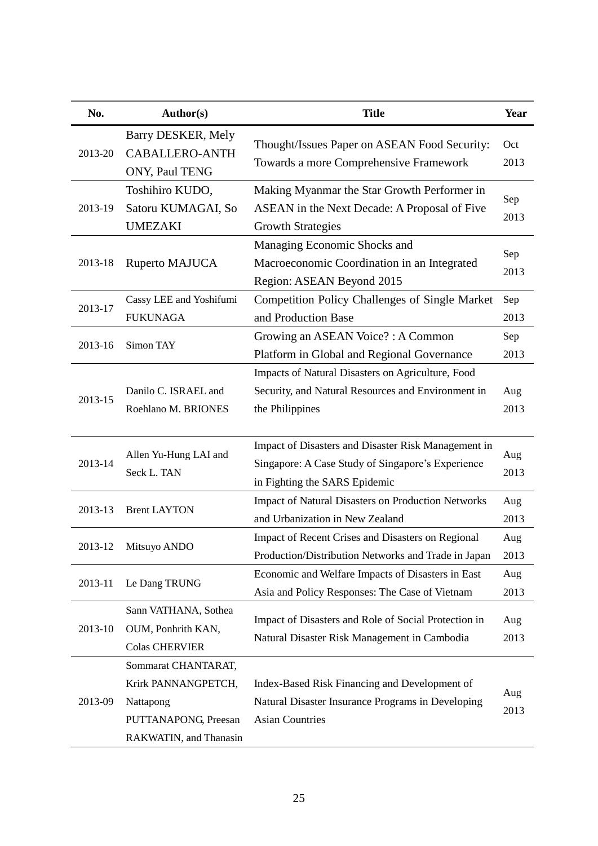| No.     | <b>Author(s)</b>                                                                                          | <b>Title</b>                                                                                                                              | Year        |
|---------|-----------------------------------------------------------------------------------------------------------|-------------------------------------------------------------------------------------------------------------------------------------------|-------------|
| 2013-20 | Barry DESKER, Mely<br><b>CABALLERO-ANTH</b><br>ONY, Paul TENG                                             | Thought/Issues Paper on ASEAN Food Security:<br>Towards a more Comprehensive Framework                                                    | Oct<br>2013 |
| 2013-19 | Toshihiro KUDO,<br>Satoru KUMAGAI, So<br><b>UMEZAKI</b>                                                   | Making Myanmar the Star Growth Performer in<br>ASEAN in the Next Decade: A Proposal of Five<br><b>Growth Strategies</b>                   | Sep<br>2013 |
| 2013-18 | Ruperto MAJUCA                                                                                            | Managing Economic Shocks and<br>Macroeconomic Coordination in an Integrated<br>Region: ASEAN Beyond 2015                                  | Sep<br>2013 |
| 2013-17 | Cassy LEE and Yoshifumi<br><b>FUKUNAGA</b>                                                                | <b>Competition Policy Challenges of Single Market</b><br>and Production Base                                                              | Sep<br>2013 |
| 2013-16 | Simon TAY                                                                                                 | Growing an ASEAN Voice? : A Common<br>Platform in Global and Regional Governance                                                          | Sep<br>2013 |
| 2013-15 | Danilo C. ISRAEL and<br>Roehlano M. BRIONES                                                               | Impacts of Natural Disasters on Agriculture, Food<br>Security, and Natural Resources and Environment in<br>the Philippines                | Aug<br>2013 |
| 2013-14 | Allen Yu-Hung LAI and<br>Seck L. TAN                                                                      | Impact of Disasters and Disaster Risk Management in<br>Singapore: A Case Study of Singapore's Experience<br>in Fighting the SARS Epidemic | Aug<br>2013 |
| 2013-13 | <b>Brent LAYTON</b>                                                                                       | Impact of Natural Disasters on Production Networks<br>and Urbanization in New Zealand                                                     | Aug<br>2013 |
| 2013-12 | Mitsuyo ANDO                                                                                              | Impact of Recent Crises and Disasters on Regional<br>Production/Distribution Networks and Trade in Japan                                  | Aug<br>2013 |
| 2013-11 | Le Dang TRUNG                                                                                             | Economic and Welfare Impacts of Disasters in East<br>Asia and Policy Responses: The Case of Vietnam                                       | Aug<br>2013 |
| 2013-10 | Sann VATHANA, Sothea<br>OUM, Ponhrith KAN,<br><b>Colas CHERVIER</b>                                       | Impact of Disasters and Role of Social Protection in<br>Natural Disaster Risk Management in Cambodia                                      | Aug<br>2013 |
| 2013-09 | Sommarat CHANTARAT,<br>Krirk PANNANGPETCH,<br>Nattapong<br>PUTTANAPONG, Preesan<br>RAKWATIN, and Thanasin | Index-Based Risk Financing and Development of<br>Natural Disaster Insurance Programs in Developing<br><b>Asian Countries</b>              | Aug<br>2013 |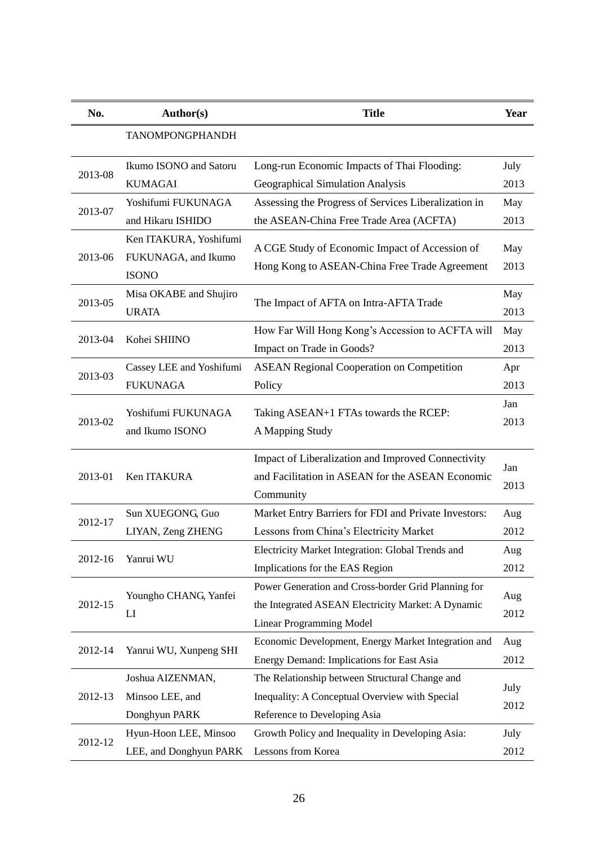| No.     | <b>Author(s)</b>         | <b>Title</b>                                         | Year        |
|---------|--------------------------|------------------------------------------------------|-------------|
|         | <b>TANOMPONGPHANDH</b>   |                                                      |             |
|         | Ikumo ISONO and Satoru   | Long-run Economic Impacts of Thai Flooding:          | July        |
| 2013-08 | <b>KUMAGAI</b>           | Geographical Simulation Analysis                     | 2013        |
|         | Yoshifumi FUKUNAGA       | Assessing the Progress of Services Liberalization in | May         |
| 2013-07 | and Hikaru ISHIDO        | the ASEAN-China Free Trade Area (ACFTA)              | 2013        |
|         | Ken ITAKURA, Yoshifumi   |                                                      |             |
| 2013-06 | FUKUNAGA, and Ikumo      | A CGE Study of Economic Impact of Accession of       | May<br>2013 |
|         | <b>ISONO</b>             | Hong Kong to ASEAN-China Free Trade Agreement        |             |
|         | Misa OKABE and Shujiro   |                                                      | May         |
| 2013-05 | <b>URATA</b>             | The Impact of AFTA on Intra-AFTA Trade               | 2013        |
|         | Kohei SHIINO             | How Far Will Hong Kong's Accession to ACFTA will     | May         |
| 2013-04 |                          | Impact on Trade in Goods?                            | 2013        |
| 2013-03 | Cassey LEE and Yoshifumi | <b>ASEAN Regional Cooperation on Competition</b>     | Apr         |
|         | <b>FUKUNAGA</b>          | Policy                                               | 2013        |
|         | Yoshifumi FUKUNAGA       | Taking ASEAN+1 FTAs towards the RCEP:                | Jan         |
| 2013-02 |                          |                                                      | 2013        |
|         | and Ikumo ISONO          | A Mapping Study                                      |             |
|         |                          | Impact of Liberalization and Improved Connectivity   | Jan         |
| 2013-01 | Ken ITAKURA              | and Facilitation in ASEAN for the ASEAN Economic     |             |
|         |                          | Community                                            | 2013        |
| 2012-17 | Sun XUEGONG, Guo         | Market Entry Barriers for FDI and Private Investors: | Aug         |
|         | LIYAN, Zeng ZHENG        | Lessons from China's Electricity Market              | 2012        |
|         | Yanrui WU                | Electricity Market Integration: Global Trends and    | Aug         |
| 2012-16 |                          | Implications for the EAS Region                      | 2012        |
|         |                          | Power Generation and Cross-border Grid Planning for  |             |
| 2012-15 | Youngho CHANG, Yanfei    | the Integrated ASEAN Electricity Market: A Dynamic   | Aug         |
|         | LI                       | <b>Linear Programming Model</b>                      | 2012        |
|         |                          | Economic Development, Energy Market Integration and  | Aug         |
| 2012-14 | Yanrui WU, Xunpeng SHI   | Energy Demand: Implications for East Asia            | 2012        |
|         | Joshua AIZENMAN,         | The Relationship between Structural Change and       |             |
| 2012-13 | Minsoo LEE, and          | Inequality: A Conceptual Overview with Special       | July        |
|         | Donghyun PARK            | Reference to Developing Asia                         | 2012        |
| 2012-12 | Hyun-Hoon LEE, Minsoo    | Growth Policy and Inequality in Developing Asia:     | July        |
|         | LEE, and Donghyun PARK   | Lessons from Korea                                   | 2012        |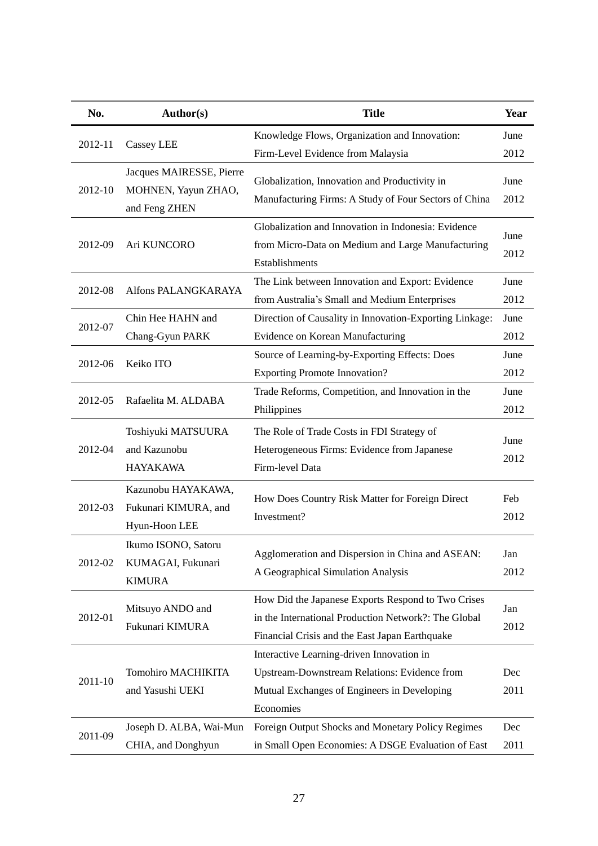| No.     | <b>Author(s)</b>                                                 | <b>Title</b>                                                                                                                                                 | Year         |
|---------|------------------------------------------------------------------|--------------------------------------------------------------------------------------------------------------------------------------------------------------|--------------|
| 2012-11 |                                                                  | Knowledge Flows, Organization and Innovation:                                                                                                                | June         |
|         | Cassey LEE                                                       | Firm-Level Evidence from Malaysia                                                                                                                            | 2012         |
| 2012-10 | Jacques MAIRESSE, Pierre<br>MOHNEN, Yayun ZHAO,<br>and Feng ZHEN | Globalization, Innovation and Productivity in<br>Manufacturing Firms: A Study of Four Sectors of China                                                       | June<br>2012 |
| 2012-09 | Ari KUNCORO                                                      | Globalization and Innovation in Indonesia: Evidence<br>from Micro-Data on Medium and Large Manufacturing<br>Establishments                                   | June<br>2012 |
| 2012-08 | Alfons PALANGKARAYA                                              | The Link between Innovation and Export: Evidence<br>from Australia's Small and Medium Enterprises                                                            | June<br>2012 |
|         | Chin Hee HAHN and                                                | Direction of Causality in Innovation-Exporting Linkage:                                                                                                      | June         |
| 2012-07 | Chang-Gyun PARK                                                  | Evidence on Korean Manufacturing                                                                                                                             | 2012         |
| 2012-06 | Keiko ITO                                                        | Source of Learning-by-Exporting Effects: Does<br><b>Exporting Promote Innovation?</b>                                                                        | June<br>2012 |
| 2012-05 | Rafaelita M. ALDABA                                              | Trade Reforms, Competition, and Innovation in the<br>Philippines                                                                                             | June<br>2012 |
| 2012-04 | Toshiyuki MATSUURA<br>and Kazunobu<br><b>HAYAKAWA</b>            | The Role of Trade Costs in FDI Strategy of<br>Heterogeneous Firms: Evidence from Japanese<br>Firm-level Data                                                 | June<br>2012 |
| 2012-03 | Kazunobu HAYAKAWA,<br>Fukunari KIMURA, and<br>Hyun-Hoon LEE      | How Does Country Risk Matter for Foreign Direct<br>Investment?                                                                                               | Feb<br>2012  |
| 2012-02 | Ikumo ISONO, Satoru<br>KUMAGAI, Fukunari<br><b>KIMURA</b>        | Agglomeration and Dispersion in China and ASEAN:<br>A Geographical Simulation Analysis                                                                       | Jan<br>2012  |
| 2012-01 | Mitsuyo ANDO and<br>Fukunari KIMURA                              | How Did the Japanese Exports Respond to Two Crises<br>in the International Production Network?: The Global<br>Financial Crisis and the East Japan Earthquake | Jan<br>2012  |
| 2011-10 | Tomohiro MACHIKITA<br>and Yasushi UEKI                           | Interactive Learning-driven Innovation in<br>Upstream-Downstream Relations: Evidence from<br>Mutual Exchanges of Engineers in Developing<br>Economies        | Dec<br>2011  |
| 2011-09 | Joseph D. ALBA, Wai-Mun<br>CHIA, and Donghyun                    | Foreign Output Shocks and Monetary Policy Regimes<br>in Small Open Economies: A DSGE Evaluation of East                                                      | Dec<br>2011  |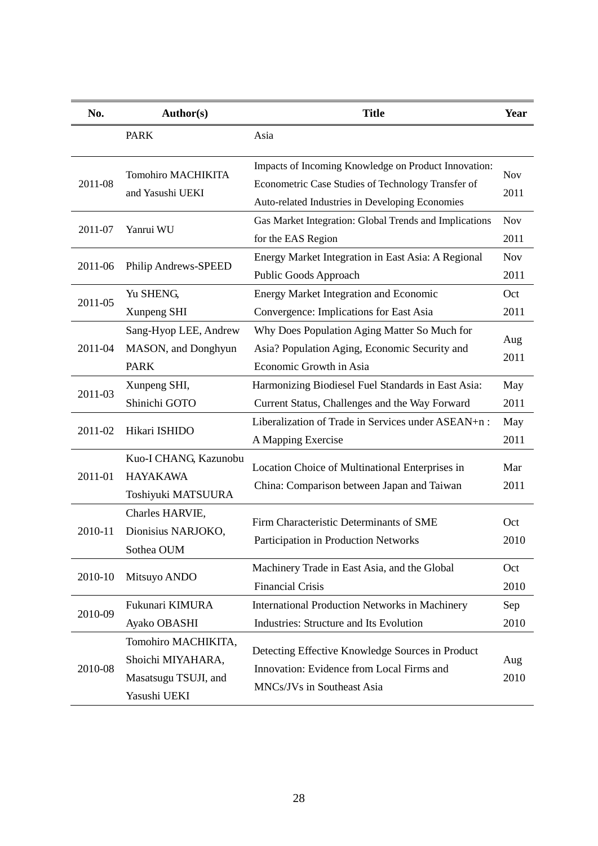| No.     | Author(s)                                                                        | <b>Title</b>                                                                                                                                                  | Year               |
|---------|----------------------------------------------------------------------------------|---------------------------------------------------------------------------------------------------------------------------------------------------------------|--------------------|
|         | <b>PARK</b>                                                                      | Asia                                                                                                                                                          |                    |
| 2011-08 | <b>Tomohiro MACHIKITA</b><br>and Yasushi UEKI                                    | Impacts of Incoming Knowledge on Product Innovation:<br>Econometric Case Studies of Technology Transfer of<br>Auto-related Industries in Developing Economies | <b>Nov</b><br>2011 |
| 2011-07 | Yanrui WU                                                                        | Gas Market Integration: Global Trends and Implications<br>for the EAS Region                                                                                  | <b>Nov</b><br>2011 |
| 2011-06 | Philip Andrews-SPEED                                                             | Energy Market Integration in East Asia: A Regional<br>Public Goods Approach                                                                                   | <b>Nov</b><br>2011 |
| 2011-05 | Yu SHENG,<br>Xunpeng SHI                                                         | <b>Energy Market Integration and Economic</b><br>Convergence: Implications for East Asia                                                                      | Oct<br>2011        |
| 2011-04 | Sang-Hyop LEE, Andrew<br>MASON, and Donghyun<br><b>PARK</b>                      | Why Does Population Aging Matter So Much for<br>Asia? Population Aging, Economic Security and<br>Economic Growth in Asia                                      | Aug<br>2011        |
| 2011-03 | Xunpeng SHI,<br>Shinichi GOTO                                                    | Harmonizing Biodiesel Fuel Standards in East Asia:<br>Current Status, Challenges and the Way Forward                                                          | May<br>2011        |
| 2011-02 | Hikari ISHIDO                                                                    | Liberalization of Trade in Services under ASEAN+n:<br>A Mapping Exercise                                                                                      | May<br>2011        |
| 2011-01 | Kuo-I CHANG, Kazunobu<br><b>HAYAKAWA</b><br>Toshiyuki MATSUURA                   | Location Choice of Multinational Enterprises in<br>China: Comparison between Japan and Taiwan                                                                 | Mar<br>2011        |
| 2010-11 | Charles HARVIE,<br>Dionisius NARJOKO,<br>Sothea OUM                              | Firm Characteristic Determinants of SME<br>Participation in Production Networks                                                                               | Oct<br>2010        |
| 2010-10 | Mitsuyo ANDO                                                                     | Machinery Trade in East Asia, and the Global<br><b>Financial Crisis</b>                                                                                       | Oct<br>2010        |
| 2010-09 | Fukunari KIMURA<br>Ayako OBASHI                                                  | <b>International Production Networks in Machinery</b><br>Industries: Structure and Its Evolution                                                              | Sep<br>2010        |
| 2010-08 | Tomohiro MACHIKITA,<br>Shoichi MIYAHARA,<br>Masatsugu TSUJI, and<br>Yasushi UEKI | Detecting Effective Knowledge Sources in Product<br>Innovation: Evidence from Local Firms and<br>MNCs/JVs in Southeast Asia                                   | Aug<br>2010        |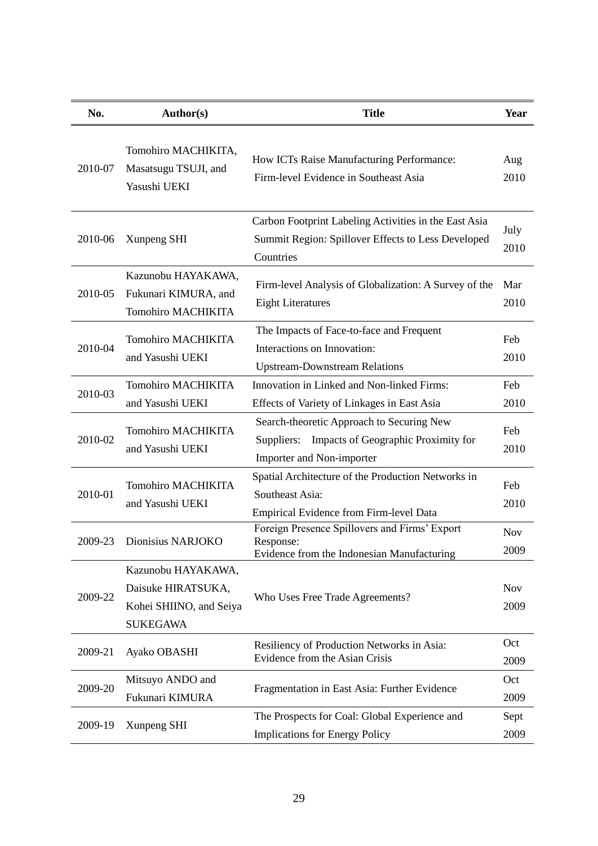| No.     | Author(s)                                                                              | <b>Title</b>                                                                                                                | Year               |
|---------|----------------------------------------------------------------------------------------|-----------------------------------------------------------------------------------------------------------------------------|--------------------|
| 2010-07 | Tomohiro MACHIKITA,<br>Masatsugu TSUJI, and<br>Yasushi UEKI                            | How ICTs Raise Manufacturing Performance:<br>Firm-level Evidence in Southeast Asia                                          | Aug<br>2010        |
| 2010-06 | Xunpeng SHI                                                                            | Carbon Footprint Labeling Activities in the East Asia<br>Summit Region: Spillover Effects to Less Developed<br>Countries    | July<br>2010       |
| 2010-05 | Kazunobu HAYAKAWA,<br>Fukunari KIMURA, and<br><b>Tomohiro MACHIKITA</b>                | Firm-level Analysis of Globalization: A Survey of the<br><b>Eight Literatures</b>                                           | Mar<br>2010        |
| 2010-04 | <b>Tomohiro MACHIKITA</b><br>and Yasushi UEKI                                          | The Impacts of Face-to-face and Frequent<br>Interactions on Innovation:<br><b>Upstream-Downstream Relations</b>             | Feb<br>2010        |
| 2010-03 | <b>Tomohiro MACHIKITA</b><br>and Yasushi UEKI                                          | Innovation in Linked and Non-linked Firms:<br>Effects of Variety of Linkages in East Asia                                   | Feb<br>2010        |
| 2010-02 | <b>Tomohiro MACHIKITA</b><br>and Yasushi UEKI                                          | Search-theoretic Approach to Securing New<br>Impacts of Geographic Proximity for<br>Suppliers:<br>Importer and Non-importer | Feb<br>2010        |
| 2010-01 | <b>Tomohiro MACHIKITA</b><br>and Yasushi UEKI                                          | Spatial Architecture of the Production Networks in<br>Southeast Asia:<br>Empirical Evidence from Firm-level Data            | Feb<br>2010        |
| 2009-23 | Dionisius NARJOKO                                                                      | Foreign Presence Spillovers and Firms' Export<br>Response:<br>Evidence from the Indonesian Manufacturing                    | <b>Nov</b><br>2009 |
| 2009-22 | Kazunobu HAYAKAWA,<br>Daisuke HIRATSUKA,<br>Kohei SHIINO, and Seiya<br><b>SUKEGAWA</b> | Who Uses Free Trade Agreements?                                                                                             | <b>Nov</b><br>2009 |
| 2009-21 | Ayako OBASHI                                                                           | Resiliency of Production Networks in Asia:<br>Evidence from the Asian Crisis                                                | Oct<br>2009        |
| 2009-20 | Mitsuyo ANDO and<br>Fukunari KIMURA                                                    | Fragmentation in East Asia: Further Evidence                                                                                | Oct<br>2009        |
| 2009-19 | Xunpeng SHI                                                                            | The Prospects for Coal: Global Experience and<br><b>Implications for Energy Policy</b>                                      | Sept<br>2009       |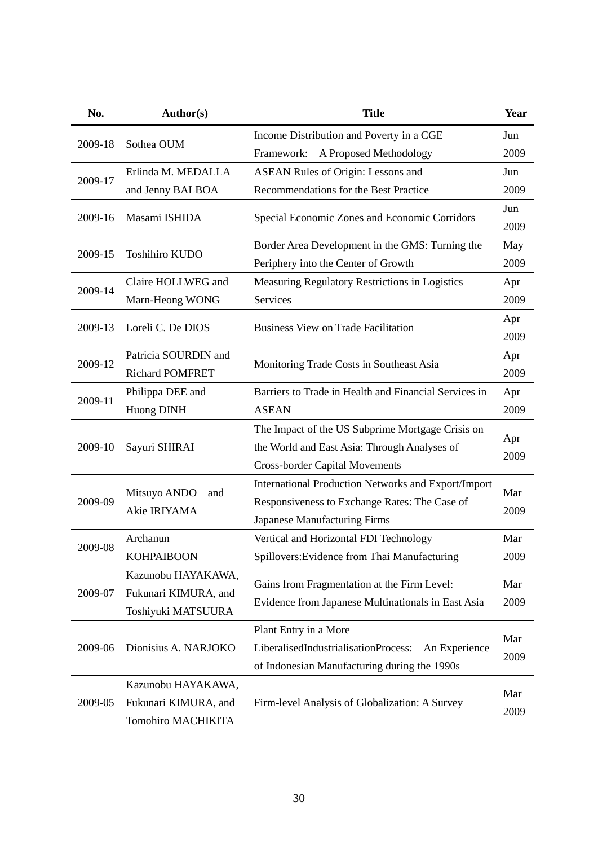| No.     | <b>Author(s)</b>                                                        | <b>Title</b>                                                                                                                              | Year        |
|---------|-------------------------------------------------------------------------|-------------------------------------------------------------------------------------------------------------------------------------------|-------------|
| 2009-18 |                                                                         | Income Distribution and Poverty in a CGE                                                                                                  | Jun         |
|         | Sothea OUM                                                              | A Proposed Methodology<br>Framework:                                                                                                      | 2009        |
|         | Erlinda M. MEDALLA                                                      | <b>ASEAN Rules of Origin: Lessons and</b>                                                                                                 | Jun         |
| 2009-17 | and Jenny BALBOA                                                        | Recommendations for the Best Practice                                                                                                     | 2009        |
| 2009-16 | Masami ISHIDA                                                           | Special Economic Zones and Economic Corridors                                                                                             | Jun<br>2009 |
| 2009-15 | Toshihiro KUDO                                                          | Border Area Development in the GMS: Turning the<br>Periphery into the Center of Growth                                                    | May<br>2009 |
| 2009-14 | Claire HOLLWEG and                                                      | Measuring Regulatory Restrictions in Logistics                                                                                            | Apr         |
|         | Marn-Heong WONG                                                         | Services                                                                                                                                  | 2009        |
| 2009-13 | Loreli C. De DIOS                                                       | <b>Business View on Trade Facilitation</b>                                                                                                | Apr<br>2009 |
| 2009-12 | Patricia SOURDIN and<br><b>Richard POMFRET</b>                          | Monitoring Trade Costs in Southeast Asia                                                                                                  | Apr<br>2009 |
| 2009-11 | Philippa DEE and<br>Huong DINH                                          | Barriers to Trade in Health and Financial Services in<br><b>ASEAN</b>                                                                     | Apr<br>2009 |
| 2009-10 | Sayuri SHIRAI                                                           | The Impact of the US Subprime Mortgage Crisis on<br>the World and East Asia: Through Analyses of<br><b>Cross-border Capital Movements</b> | Apr<br>2009 |
| 2009-09 | Mitsuyo ANDO<br>and<br>Akie IRIYAMA                                     | International Production Networks and Export/Import<br>Responsiveness to Exchange Rates: The Case of<br>Japanese Manufacturing Firms      | Mar<br>2009 |
| 2009-08 | Archanun<br><b>KOHPAIBOON</b>                                           | Vertical and Horizontal FDI Technology<br>Spillovers: Evidence from Thai Manufacturing                                                    | Mar<br>2009 |
| 2009-07 | Kazunobu HAYAKAWA,<br>Fukunari KIMURA, and<br>Toshiyuki MATSUURA        | Gains from Fragmentation at the Firm Level:<br>Evidence from Japanese Multinationals in East Asia                                         | Mar<br>2009 |
| 2009-06 | Dionisius A. NARJOKO                                                    | Plant Entry in a More<br>LiberalisedIndustrialisationProcess:<br>An Experience<br>of Indonesian Manufacturing during the 1990s            | Mar<br>2009 |
| 2009-05 | Kazunobu HAYAKAWA,<br>Fukunari KIMURA, and<br><b>Tomohiro MACHIKITA</b> | Firm-level Analysis of Globalization: A Survey                                                                                            | Mar<br>2009 |